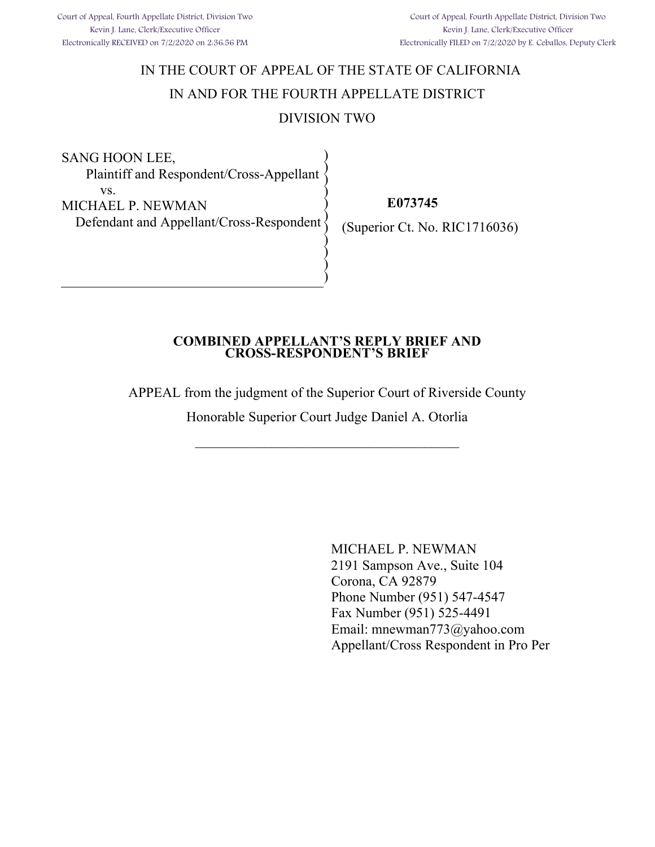# IN THE COURT OF APPEAL OF THE STATE OF CALIFORNIA IN AND FOR THE FOURTH APPELLATE DISTRICT DIVISION TWO

SANG HOON LEE, Plaintiff and Respondent/Cross-Appellant vs. MICHAEL P. NEWMAN Defendant and Appellant/Cross-Respondent ) ) ) ) ) ) )

 **E073745**

(Superior Ct. No. RIC1716036)

### **COMBINED APPELLANT'S REPLY BRIEF AND CROSS-RESPONDENT'S BRIEF**

) ) )

 $\sum_{i=1}^{n}$ 

APPEAL from the judgment of the Superior Court of Riverside County

Honorable Superior Court Judge Daniel A. Otorlia

\_\_\_\_\_\_\_\_\_\_\_\_\_\_\_\_\_\_\_\_\_\_\_\_\_\_\_\_\_\_\_\_\_\_\_\_\_\_

MICHAEL P. NEWMAN 2191 Sampson Ave., Suite 104 Corona, CA 92879 Phone Number (951) 547-4547 Fax Number (951) 525-4491 Email: mnewman773@yahoo.com Appellant/Cross Respondent in Pro Per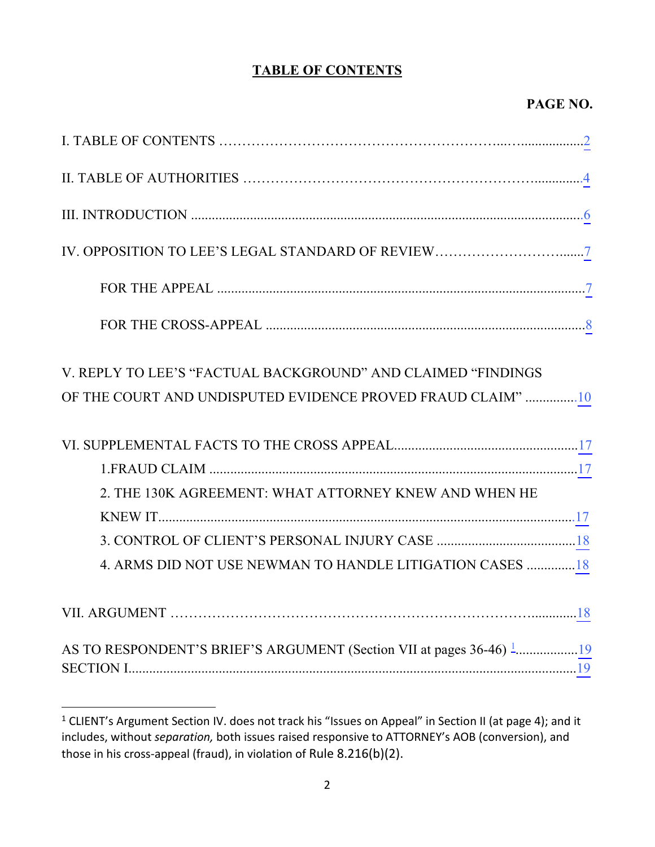## **TABLE OF CONTENTS**

## **PAGE NO.**

<span id="page-1-1"></span>

| V. REPLY TO LEE'S "FACTUAL BACKGROUND" AND CLAIMED "FINDINGS |
|--------------------------------------------------------------|
| OF THE COURT AND UNDISPUTED EVIDENCE PROVED FRAUD CLAIM" 10  |
|                                                              |
|                                                              |
|                                                              |
| 2. THE 130K AGREEMENT: WHAT ATTORNEY KNEW AND WHEN HE        |
|                                                              |
|                                                              |
| 4. ARMS DID NOT USE NEWMAN TO HANDLE LITIGATION CASES 18     |
|                                                              |

<span id="page-1-0"></span><sup>&</sup>lt;sup>1</sup> CLIENT's Argument Section IV. does not track his "Issues on Appeal" in Section II (at page 4); and it includes, without *separation,* both issues raised responsive to ATTORNEY's AOB (conversion), and those in his cross-appeal (fraud), in violation of Rule 8.216(b)(2).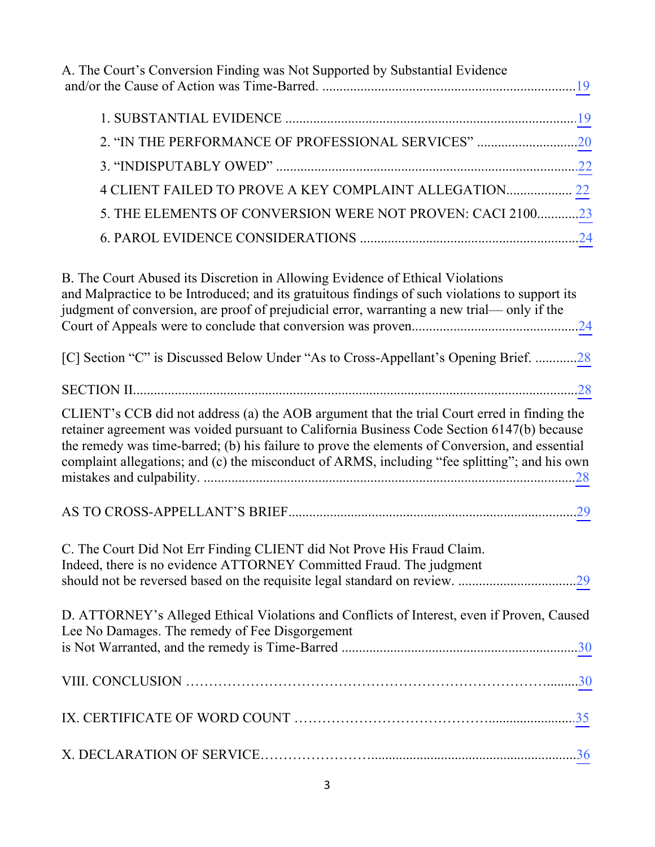| A. The Court's Conversion Finding was Not Supported by Substantial Evidence                                                                                                                                                                                                                                                                                                                  |
|----------------------------------------------------------------------------------------------------------------------------------------------------------------------------------------------------------------------------------------------------------------------------------------------------------------------------------------------------------------------------------------------|
|                                                                                                                                                                                                                                                                                                                                                                                              |
| 2. "IN THE PERFORMANCE OF PROFESSIONAL SERVICES" 20                                                                                                                                                                                                                                                                                                                                          |
|                                                                                                                                                                                                                                                                                                                                                                                              |
| 4 CLIENT FAILED TO PROVE A KEY COMPLAINT ALLEGATION 22                                                                                                                                                                                                                                                                                                                                       |
| 5. THE ELEMENTS OF CONVERSION WERE NOT PROVEN: CACI 210023                                                                                                                                                                                                                                                                                                                                   |
|                                                                                                                                                                                                                                                                                                                                                                                              |
| B. The Court Abused its Discretion in Allowing Evidence of Ethical Violations<br>and Malpractice to be Introduced; and its gratuitous findings of such violations to support its<br>judgment of conversion, are proof of prejudicial error, warranting a new trial— only if the                                                                                                              |
| [C] Section "C" is Discussed Below Under "As to Cross-Appellant's Opening Brief. 28                                                                                                                                                                                                                                                                                                          |
|                                                                                                                                                                                                                                                                                                                                                                                              |
| CLIENT's CCB did not address (a) the AOB argument that the trial Court erred in finding the<br>retainer agreement was voided pursuant to California Business Code Section 6147(b) because<br>the remedy was time-barred; (b) his failure to prove the elements of Conversion, and essential<br>complaint allegations; and (c) the misconduct of ARMS, including "fee splitting"; and his own |
|                                                                                                                                                                                                                                                                                                                                                                                              |
| C. The Court Did Not Err Finding CLIENT did Not Prove His Fraud Claim.<br>Indeed, there is no evidence ATTORNEY Committed Fraud. The judgment                                                                                                                                                                                                                                                |
| D. ATTORNEY's Alleged Ethical Violations and Conflicts of Interest, even if Proven, Caused<br>Lee No Damages. The remedy of Fee Disgorgement                                                                                                                                                                                                                                                 |
|                                                                                                                                                                                                                                                                                                                                                                                              |
|                                                                                                                                                                                                                                                                                                                                                                                              |
|                                                                                                                                                                                                                                                                                                                                                                                              |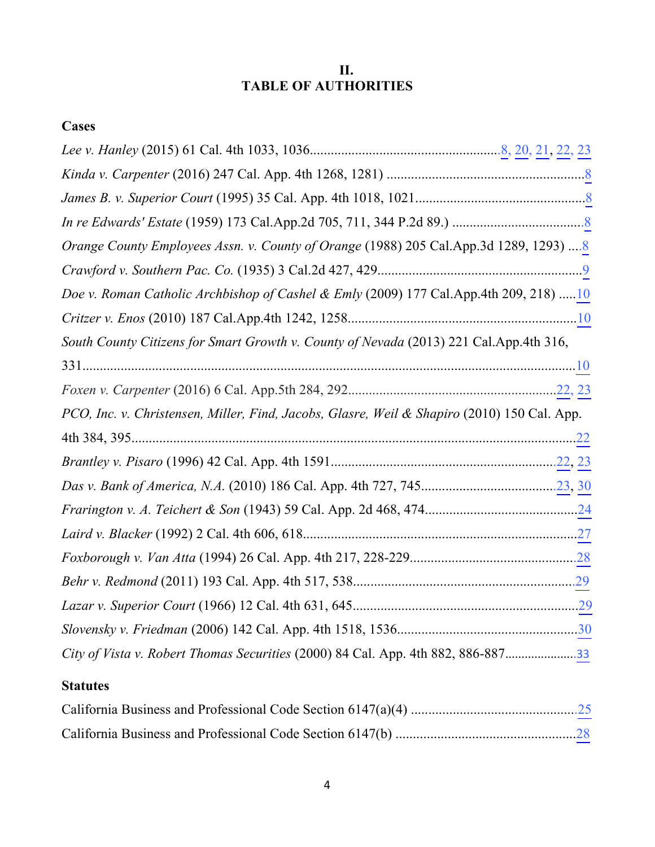## **II. TABLE OF AUTHORITIES**

# <span id="page-3-0"></span>**Cases**

| Orange County Employees Assn. v. County of Orange (1988) 205 Cal.App.3d 1289, 1293) 8       |
|---------------------------------------------------------------------------------------------|
|                                                                                             |
| Doe v. Roman Catholic Archbishop of Cashel & Emly (2009) 177 Cal.App.4th 209, 218) 10       |
|                                                                                             |
| South County Citizens for Smart Growth v. County of Nevada (2013) 221 Cal.App.4th 316,      |
|                                                                                             |
|                                                                                             |
| PCO, Inc. v. Christensen, Miller, Find, Jacobs, Glasre, Weil & Shapiro (2010) 150 Cal. App. |
|                                                                                             |
|                                                                                             |
|                                                                                             |
|                                                                                             |
|                                                                                             |
|                                                                                             |
|                                                                                             |
|                                                                                             |
|                                                                                             |
|                                                                                             |

# **Statutes**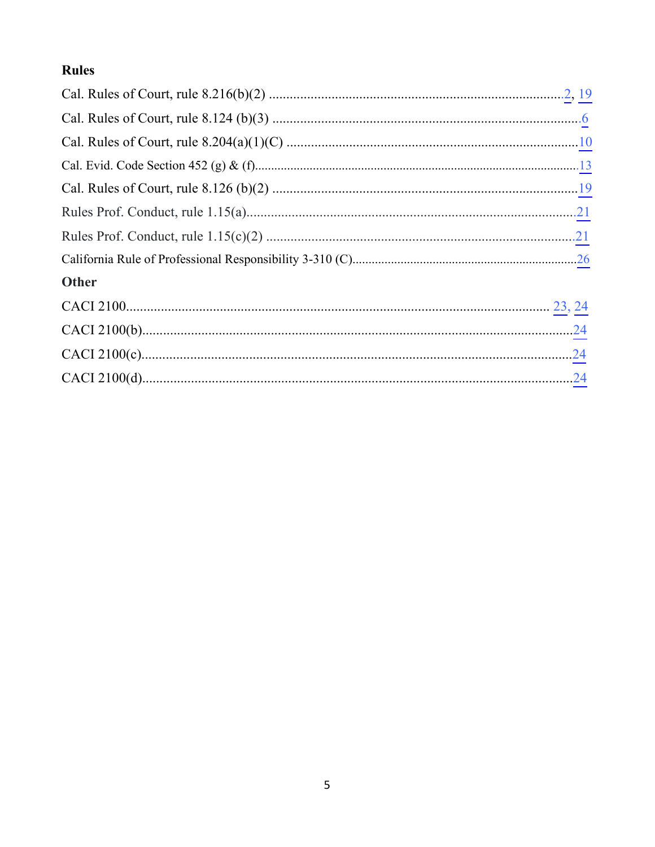# **Rules**

| <b>Other</b> |  |
|--------------|--|
|              |  |
|              |  |
|              |  |
|              |  |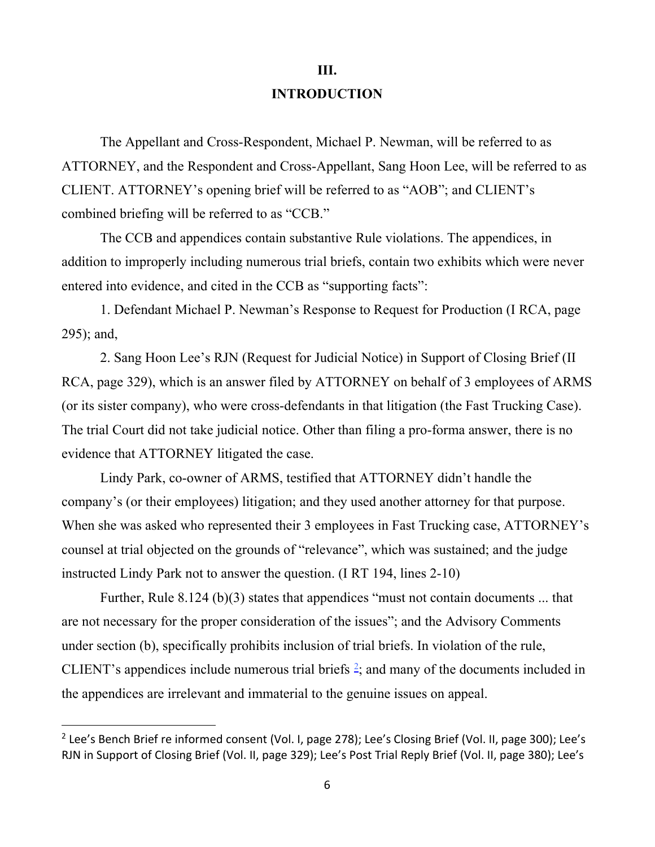# **III. INTRODUCTION**

<span id="page-5-0"></span> The Appellant and Cross-Respondent, Michael P. Newman, will be referred to as ATTORNEY, and the Respondent and Cross-Appellant, Sang Hoon Lee, will be referred to as CLIENT. ATTORNEY's opening brief will be referred to as "AOB"; and CLIENT's combined briefing will be referred to as "CCB."

 The CCB and appendices contain substantive Rule violations. The appendices, in addition to improperly including numerous trial briefs, contain two exhibits which were never entered into evidence, and cited in the CCB as "supporting facts":

 1. Defendant Michael P. Newman's Response to Request for Production (I RCA, page 295); and,

 2. Sang Hoon Lee's RJN (Request for Judicial Notice) in Support of Closing Brief (II RCA, page 329), which is an answer filed by ATTORNEY on behalf of 3 employees of ARMS (or its sister company), who were cross-defendants in that litigation (the Fast Trucking Case). The trial Court did not take judicial notice. Other than filing a pro-forma answer, there is no evidence that ATTORNEY litigated the case.

 Lindy Park, co-owner of ARMS, testified that ATTORNEY didn't handle the company's (or their employees) litigation; and they used another attorney for that purpose. When she was asked who represented their 3 employees in Fast Trucking case, ATTORNEY's counsel at trial objected on the grounds of "relevance", which was sustained; and the judge instructed Lindy Park not to answer the question. (I RT 194, lines 2-10)

 Further, Rule 8.124 (b)(3) states that appendices "must not contain documents ... that are not necessary for the proper consideration of the issues"; and the Advisory Comments under section (b), specifically prohibits inclusion of trial briefs. In violation of the rule, CLIENT's appendices include numerous trial briefs  $2$ ; and many of the documents included in the appendices are irrelevant and immaterial to the genuine issues on appeal.

<span id="page-5-1"></span><sup>&</sup>lt;sup>2</sup> Lee's Bench Brief re informed consent (Vol. I, page 278); Lee's Closing Brief (Vol. II, page 300); Lee's RJN in Support of Closing Brief (Vol. II, page 329); Lee's Post Trial Reply Brief (Vol. II, page 380); Lee's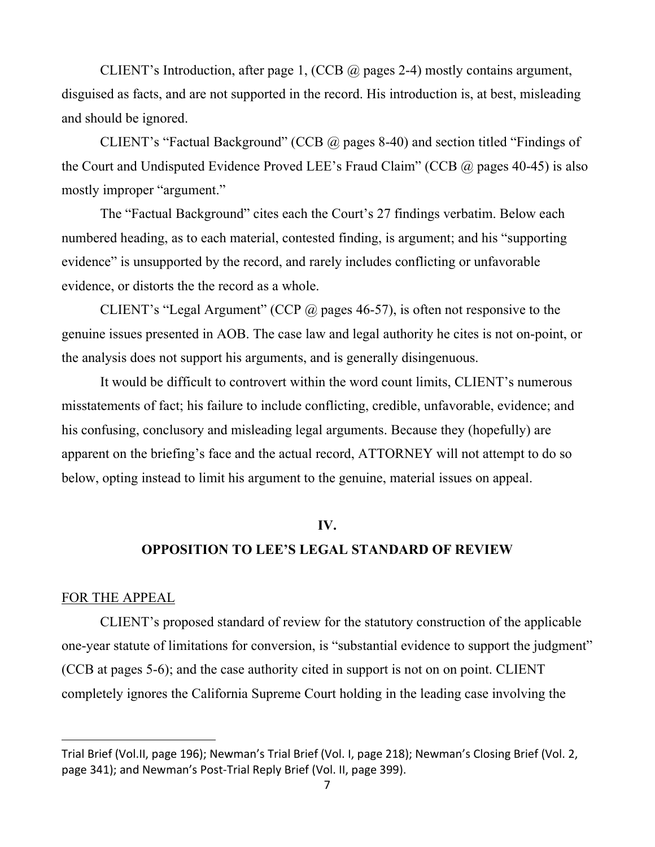<span id="page-6-0"></span>CLIENT's Introduction, after page 1, (CCB  $\omega$  pages 2-4) mostly contains argument, disguised as facts, and are not supported in the record. His introduction is, at best, misleading and should be ignored.

CLIENT's "Factual Background" (CCB @ pages 8-40) and section titled "Findings of the Court and Undisputed Evidence Proved LEE's Fraud Claim" (CCB  $\omega$ ) pages 40-45) is also mostly improper "argument."

The "Factual Background" cites each the Court's 27 findings verbatim. Below each numbered heading, as to each material, contested finding, is argument; and his "supporting evidence" is unsupported by the record, and rarely includes conflicting or unfavorable evidence, or distorts the the record as a whole.

CLIENT's "Legal Argument" (CCP  $\omega$  pages 46-57), is often not responsive to the genuine issues presented in AOB. The case law and legal authority he cites is not on-point, or the analysis does not support his arguments, and is generally disingenuous.

It would be difficult to controvert within the word count limits, CLIENT's numerous misstatements of fact; his failure to include conflicting, credible, unfavorable, evidence; and his confusing, conclusory and misleading legal arguments. Because they (hopefully) are apparent on the briefing's face and the actual record, ATTORNEY will not attempt to do so below, opting instead to limit his argument to the genuine, material issues on appeal.

#### **IV.**

## **OPPOSITION TO LEE'S LEGAL STANDARD OF REVIEW**

#### FOR THE APPEAL

CLIENT's proposed standard of review for the statutory construction of the applicable one-year statute of limitations for conversion, is "substantial evidence to support the judgment" (CCB at pages 5-6); and the case authority cited in support is not on on point. CLIENT completely ignores the California Supreme Court holding in the leading case involving the

Trial Brief (Vol.II, page 196); Newman's Trial Brief (Vol. I, page 218); Newman's Closing Brief (Vol. 2, page 341); and Newman's Post-Trial Reply Brief (Vol. II, page 399).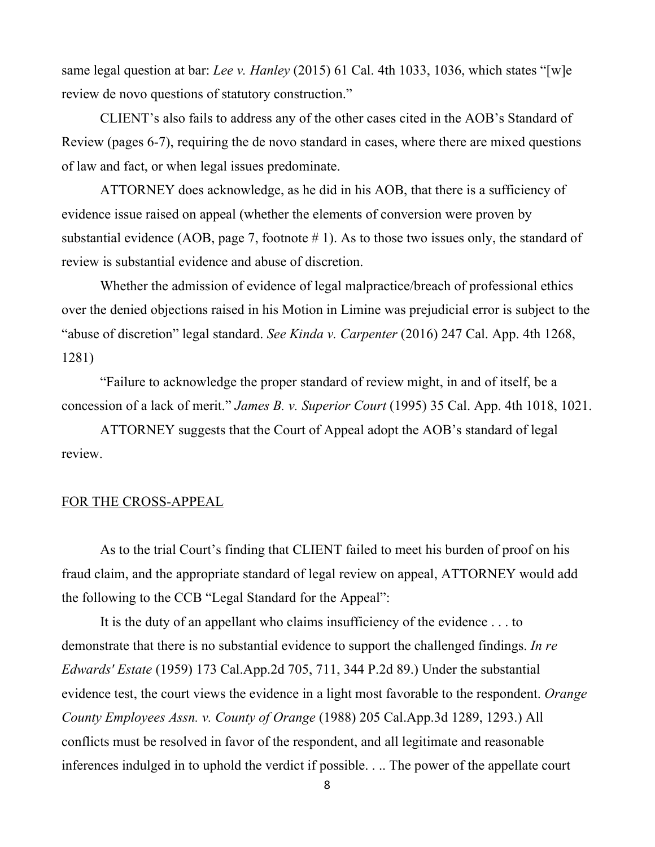<span id="page-7-0"></span>same legal question at bar: *Lee v. Hanley* (2015) 61 Cal. 4th 1033, 1036, which states "[w]e review de novo questions of statutory construction."

CLIENT's also fails to address any of the other cases cited in the AOB's Standard of Review (pages 6-7), requiring the de novo standard in cases, where there are mixed questions of law and fact, or when legal issues predominate.

ATTORNEY does acknowledge, as he did in his AOB, that there is a sufficiency of evidence issue raised on appeal (whether the elements of conversion were proven by substantial evidence (AOB, page 7, footnote  $# 1$ ). As to those two issues only, the standard of review is substantial evidence and abuse of discretion.

Whether the admission of evidence of legal malpractice/breach of professional ethics over the denied objections raised in his Motion in Limine was prejudicial error is subject to the "abuse of discretion" legal standard. *See Kinda v. Carpenter* (2016) 247 Cal. App. 4th 1268, 1281)

"Failure to acknowledge the proper standard of review might, in and of itself, be a concession of a lack of merit." *James B. v. Superior Court* (1995) 35 Cal. App. 4th 1018, 1021.

ATTORNEY suggests that the Court of Appeal adopt the AOB's standard of legal review.

### FOR THE CROSS-APPEAL

As to the trial Court's finding that CLIENT failed to meet his burden of proof on his fraud claim, and the appropriate standard of legal review on appeal, ATTORNEY would add the following to the CCB "Legal Standard for the Appeal":

It is the duty of an appellant who claims insufficiency of the evidence . . . to demonstrate that there is no substantial evidence to support the challenged findings. *In re Edwards' Estate* (1959) 173 Cal.App.2d 705, 711, 344 P.2d 89.) Under the substantial evidence test, the court views the evidence in a light most favorable to the respondent. *Orange County Employees Assn. v. County of Orange* (1988) 205 Cal.App.3d 1289, 1293.) All conflicts must be resolved in favor of the respondent, and all legitimate and reasonable inferences indulged in to uphold the verdict if possible. . .. The power of the appellate court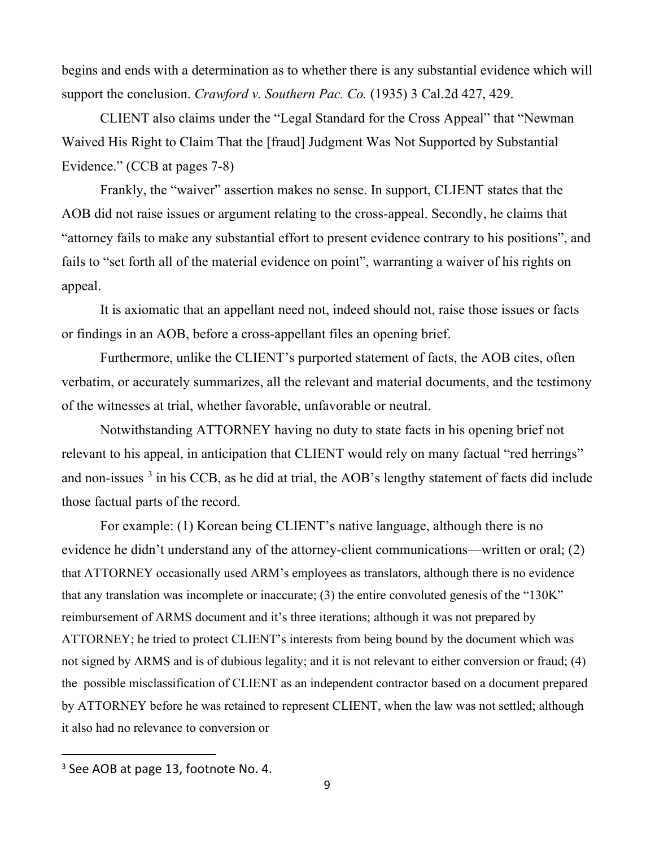<span id="page-8-0"></span>begins and ends with a determination as to whether there is any substantial evidence which will support the conclusion. *Crawford v. Southern Pac. Co.* (1935) 3 Cal.2d 427, 429.

CLIENT also claims under the "Legal Standard for the Cross Appeal" that "Newman Waived His Right to Claim That the [fraud] Judgment Was Not Supported by Substantial Evidence." (CCB at pages 7-8)

Frankly, the "waiver" assertion makes no sense. In support, CLIENT states that the AOB did not raise issues or argument relating to the cross-appeal. Secondly, he claims that "attorney fails to make any substantial effort to present evidence contrary to his positions", and fails to "set forth all of the material evidence on point", warranting a waiver of his rights on appeal.

It is axiomatic that an appellant need not, indeed should not, raise those issues or facts or findings in an AOB, before a cross-appellant files an opening brief.

Furthermore, unlike the CLIENT's purported statement of facts, the AOB cites, often verbatim, or accurately summarizes, all the relevant and material documents, and the testimony of the witnesses at trial, whether favorable, unfavorable or neutral.

Notwithstanding ATTORNEY having no duty to state facts in his opening brief not relevant to his appeal, in anticipation that CLIENT would rely on many factual "red herrings" and non-issues<sup>[3](#page-8-1)</sup> in his CCB, as he did at trial, the AOB's lengthy statement of facts did include those factual parts of the record.

For example: (1) Korean being CLIENT's native language, although there is no evidence he didn't understand any of the attorney-client communications—written or oral; (2) that ATTORNEY occasionally used ARM's employees as translators, although there is no evidence that any translation was incomplete or inaccurate; (3) the entire convoluted genesis of the "130K" reimbursement of ARMS document and it's three iterations; although it was not prepared by ATTORNEY; he tried to protect CLIENT's interests from being bound by the document which was not signed by ARMS and is of dubious legality; and it is not relevant to either conversion or fraud; (4) the possible misclassification of CLIENT as an independent contractor based on a document prepared by ATTORNEY before he was retained to represent CLIENT, when the law was not settled; although it also had no relevance to conversion or

<span id="page-8-1"></span><sup>&</sup>lt;sup>3</sup> See AOB at page 13, footnote No. 4.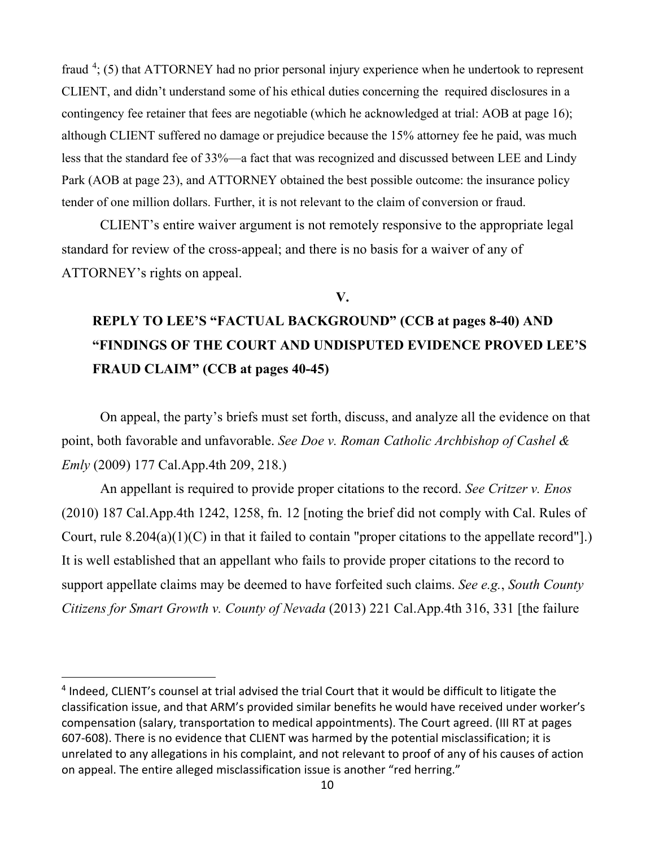<span id="page-9-0"></span>fraud<sup>[4](#page-9-1)</sup>; (5) that ATTORNEY had no prior personal injury experience when he undertook to represent CLIENT, and didn't understand some of his ethical duties concerning the required disclosures in a contingency fee retainer that fees are negotiable (which he acknowledged at trial: AOB at page 16); although CLIENT suffered no damage or prejudice because the 15% attorney fee he paid, was much less that the standard fee of 33%—a fact that was recognized and discussed between LEE and Lindy Park (AOB at page 23), and ATTORNEY obtained the best possible outcome: the insurance policy tender of one million dollars. Further, it is not relevant to the claim of conversion or fraud.

CLIENT's entire waiver argument is not remotely responsive to the appropriate legal standard for review of the cross-appeal; and there is no basis for a waiver of any of ATTORNEY's rights on appeal.

#### **V.**

# **REPLY TO LEE'S "FACTUAL BACKGROUND" (CCB at pages 8-40) AND "FINDINGS OF THE COURT AND UNDISPUTED EVIDENCE PROVED LEE'S FRAUD CLAIM" (CCB at pages 40-45)**

On appeal, the party's briefs must set forth, discuss, and analyze all the evidence on that point, both favorable and unfavorable. *See Doe v. Roman Catholic Archbishop of Cashel & Emly* (2009) 177 Cal.App.4th 209, 218.)

An appellant is required to provide proper citations to the record. *See Critzer v. Enos*  (2010) 187 Cal.App.4th 1242, 1258, fn. 12 [noting the brief did not comply with Cal. Rules of Court, rule 8.204(a)(1)(C) in that it failed to contain "proper citations to the appellate record"].) It is well established that an appellant who fails to provide proper citations to the record to support appellate claims may be deemed to have forfeited such claims. *See e.g.*, *South County Citizens for Smart Growth v. County of Nevada* (2013) 221 Cal.App.4th 316, 331 [the failure

<span id="page-9-1"></span><sup>4</sup> Indeed, CLIENT's counsel at trial advised the trial Court that it would be difficult to litigate the classification issue, and that ARM's provided similar benefits he would have received under worker's compensation (salary, transportation to medical appointments). The Court agreed. (III RT at pages 607-608). There is no evidence that CLIENT was harmed by the potential misclassification; it is unrelated to any allegations in his complaint, and not relevant to proof of any of his causes of action on appeal. The entire alleged misclassification issue is another "red herring."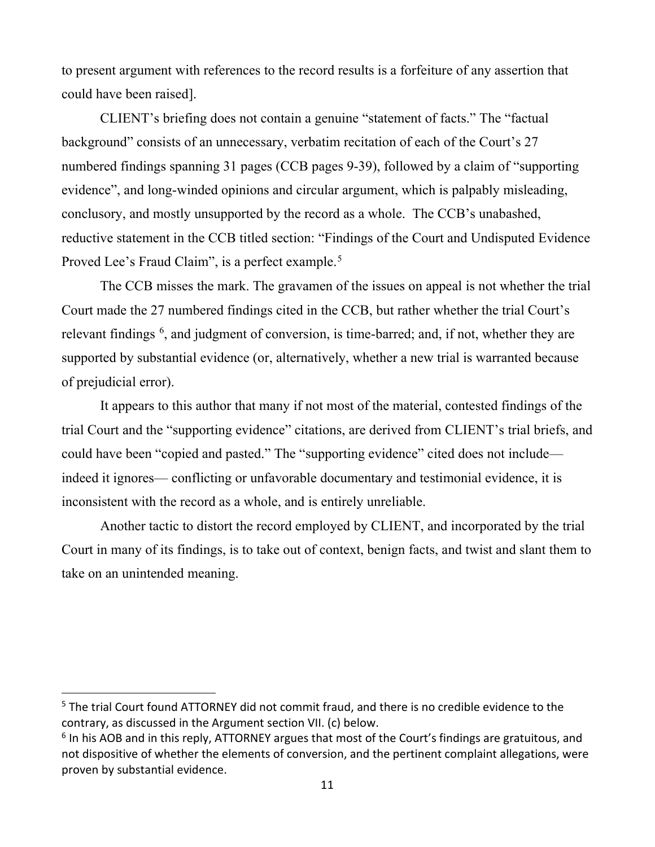to present argument with references to the record results is a forfeiture of any assertion that could have been raised].

CLIENT's briefing does not contain a genuine "statement of facts." The "factual background" consists of an unnecessary, verbatim recitation of each of the Court's 27 numbered findings spanning 31 pages (CCB pages 9-39), followed by a claim of "supporting evidence", and long-winded opinions and circular argument, which is palpably misleading, conclusory, and mostly unsupported by the record as a whole. The CCB's unabashed, reductive statement in the CCB titled section: "Findings of the Court and Undisputed Evidence Proved Lee's Fraud Claim", is a perfect example.<sup>[5](#page-10-0)</sup>

The CCB misses the mark. The gravamen of the issues on appeal is not whether the trial Court made the 27 numbered findings cited in the CCB, but rather whether the trial Court's relevant findings <sup>[6](#page-10-1)</sup>, and judgment of conversion, is time-barred; and, if not, whether they are supported by substantial evidence (or, alternatively, whether a new trial is warranted because of prejudicial error).

It appears to this author that many if not most of the material, contested findings of the trial Court and the "supporting evidence" citations, are derived from CLIENT's trial briefs, and could have been "copied and pasted." The "supporting evidence" cited does not include indeed it ignores— conflicting or unfavorable documentary and testimonial evidence, it is inconsistent with the record as a whole, and is entirely unreliable.

Another tactic to distort the record employed by CLIENT, and incorporated by the trial Court in many of its findings, is to take out of context, benign facts, and twist and slant them to take on an unintended meaning.

<span id="page-10-0"></span><sup>&</sup>lt;sup>5</sup> The trial Court found ATTORNEY did not commit fraud, and there is no credible evidence to the contrary, as discussed in the Argument section VII. (c) below.

<span id="page-10-1"></span><sup>&</sup>lt;sup>6</sup> In his AOB and in this reply, ATTORNEY argues that most of the Court's findings are gratuitous, and not dispositive of whether the elements of conversion, and the pertinent complaint allegations, were proven by substantial evidence.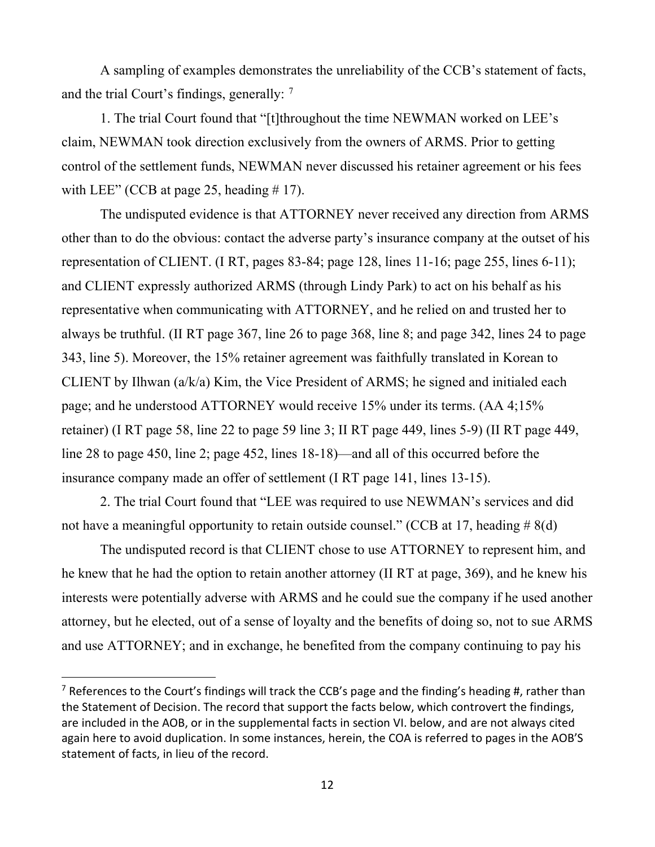A sampling of examples demonstrates the unreliability of the CCB's statement of facts, and the trial Court's findings, generally:  $<sup>7</sup>$  $<sup>7</sup>$  $<sup>7</sup>$ </sup>

1. The trial Court found that "[t]throughout the time NEWMAN worked on LEE's claim, NEWMAN took direction exclusively from the owners of ARMS. Prior to getting control of the settlement funds, NEWMAN never discussed his retainer agreement or his fees with LEE" (CCB at page 25, heading  $\#$  17).

The undisputed evidence is that ATTORNEY never received any direction from ARMS other than to do the obvious: contact the adverse party's insurance company at the outset of his representation of CLIENT. (I RT, pages 83-84; page 128, lines 11-16; page 255, lines 6-11); and CLIENT expressly authorized ARMS (through Lindy Park) to act on his behalf as his representative when communicating with ATTORNEY, and he relied on and trusted her to always be truthful. (II RT page 367, line 26 to page 368, line 8; and page 342, lines 24 to page 343, line 5). Moreover, the 15% retainer agreement was faithfully translated in Korean to CLIENT by Ilhwan (a/k/a) Kim, the Vice President of ARMS; he signed and initialed each page; and he understood ATTORNEY would receive 15% under its terms. (AA 4;15% retainer) (I RT page 58, line 22 to page 59 line 3; II RT page 449, lines 5-9) (II RT page 449, line 28 to page 450, line 2; page 452, lines 18-18)—and all of this occurred before the insurance company made an offer of settlement (I RT page 141, lines 13-15).

2. The trial Court found that "LEE was required to use NEWMAN's services and did not have a meaningful opportunity to retain outside counsel." (CCB at 17, heading  $\# 8(d)$ )

The undisputed record is that CLIENT chose to use ATTORNEY to represent him, and he knew that he had the option to retain another attorney (II RT at page, 369), and he knew his interests were potentially adverse with ARMS and he could sue the company if he used another attorney, but he elected, out of a sense of loyalty and the benefits of doing so, not to sue ARMS and use ATTORNEY; and in exchange, he benefited from the company continuing to pay his

<span id="page-11-0"></span><sup>&</sup>lt;sup>7</sup> References to the Court's findings will track the CCB's page and the finding's heading #, rather than the Statement of Decision. The record that support the facts below, which controvert the findings, are included in the AOB, or in the supplemental facts in section VI. below, and are not always cited again here to avoid duplication. In some instances, herein, the COA is referred to pages in the AOB'S statement of facts, in lieu of the record.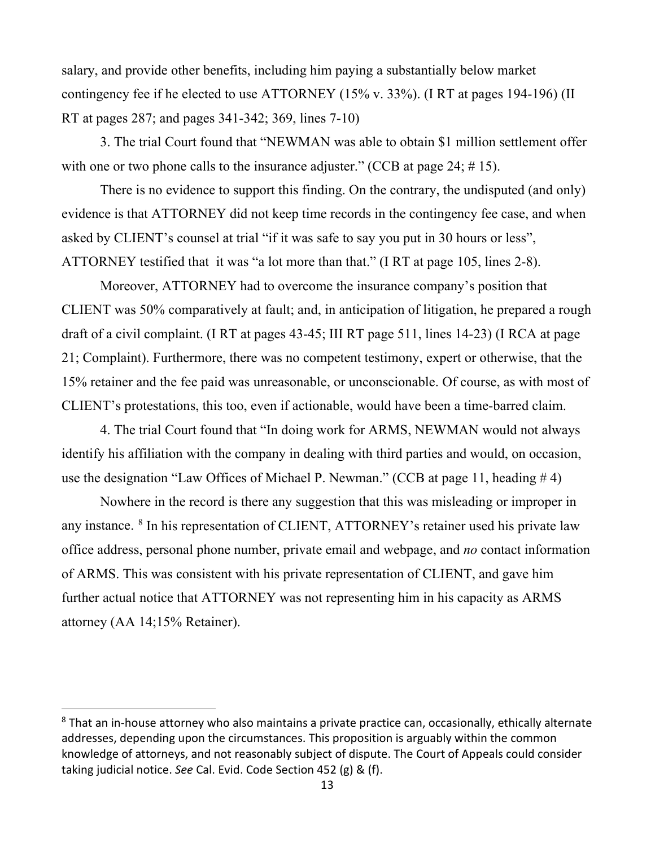<span id="page-12-0"></span>salary, and provide other benefits, including him paying a substantially below market contingency fee if he elected to use ATTORNEY (15% v. 33%). (I RT at pages 194-196) (II RT at pages 287; and pages 341-342; 369, lines 7-10)

3. The trial Court found that "NEWMAN was able to obtain \$1 million settlement offer with one or two phone calls to the insurance adjuster." (CCB at page 24; #15).

There is no evidence to support this finding. On the contrary, the undisputed (and only) evidence is that ATTORNEY did not keep time records in the contingency fee case, and when asked by CLIENT's counsel at trial "if it was safe to say you put in 30 hours or less", ATTORNEY testified that it was "a lot more than that." (I RT at page 105, lines 2-8).

Moreover, ATTORNEY had to overcome the insurance company's position that CLIENT was 50% comparatively at fault; and, in anticipation of litigation, he prepared a rough draft of a civil complaint. (I RT at pages 43-45; III RT page 511, lines 14-23) (I RCA at page 21; Complaint). Furthermore, there was no competent testimony, expert or otherwise, that the 15% retainer and the fee paid was unreasonable, or unconscionable. Of course, as with most of CLIENT's protestations, this too, even if actionable, would have been a time-barred claim.

4. The trial Court found that "In doing work for ARMS, NEWMAN would not always identify his affiliation with the company in dealing with third parties and would, on occasion, use the designation "Law Offices of Michael P. Newman." (CCB at page 11, heading # 4)

Nowhere in the record is there any suggestion that this was misleading or improper in any instance. [8](#page-12-1) In his representation of CLIENT, ATTORNEY's retainer used his private law office address, personal phone number, private email and webpage, and *no* contact information of ARMS. This was consistent with his private representation of CLIENT, and gave him further actual notice that ATTORNEY was not representing him in his capacity as ARMS attorney (AA 14;15% Retainer).

<span id="page-12-1"></span><sup>&</sup>lt;sup>8</sup> That an in-house attorney who also maintains a private practice can, occasionally, ethically alternate addresses, depending upon the circumstances. This proposition is arguably within the common knowledge of attorneys, and not reasonably subject of dispute. The Court of Appeals could consider taking judicial notice. *See* Cal. Evid. Code Section 452 (g) & (f).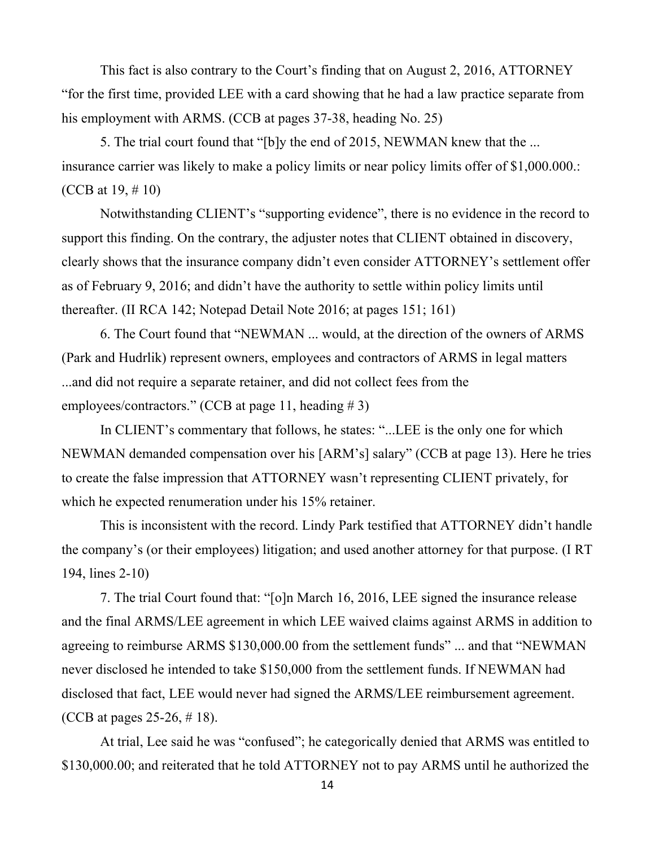This fact is also contrary to the Court's finding that on August 2, 2016, ATTORNEY "for the first time, provided LEE with a card showing that he had a law practice separate from his employment with ARMS. (CCB at pages 37-38, heading No. 25)

5. The trial court found that "[b]y the end of 2015, NEWMAN knew that the ... insurance carrier was likely to make a policy limits or near policy limits offer of \$1,000.000.: (CCB at 19, # 10)

Notwithstanding CLIENT's "supporting evidence", there is no evidence in the record to support this finding. On the contrary, the adjuster notes that CLIENT obtained in discovery, clearly shows that the insurance company didn't even consider ATTORNEY's settlement offer as of February 9, 2016; and didn't have the authority to settle within policy limits until thereafter. (II RCA 142; Notepad Detail Note 2016; at pages 151; 161)

6. The Court found that "NEWMAN ... would, at the direction of the owners of ARMS (Park and Hudrlik) represent owners, employees and contractors of ARMS in legal matters ...and did not require a separate retainer, and did not collect fees from the employees/contractors." (CCB at page 11, heading  $\# 3$ )

In CLIENT's commentary that follows, he states: "...LEE is the only one for which NEWMAN demanded compensation over his [ARM's] salary" (CCB at page 13). Here he tries to create the false impression that ATTORNEY wasn't representing CLIENT privately, for which he expected renumeration under his 15% retainer.

This is inconsistent with the record. Lindy Park testified that ATTORNEY didn't handle the company's (or their employees) litigation; and used another attorney for that purpose. (I RT 194, lines 2-10)

7. The trial Court found that: "[o]n March 16, 2016, LEE signed the insurance release and the final ARMS/LEE agreement in which LEE waived claims against ARMS in addition to agreeing to reimburse ARMS \$130,000.00 from the settlement funds" ... and that "NEWMAN never disclosed he intended to take \$150,000 from the settlement funds. If NEWMAN had disclosed that fact, LEE would never had signed the ARMS/LEE reimbursement agreement. (CCB at pages 25-26, # 18).

At trial, Lee said he was "confused"; he categorically denied that ARMS was entitled to \$130,000.00; and reiterated that he told ATTORNEY not to pay ARMS until he authorized the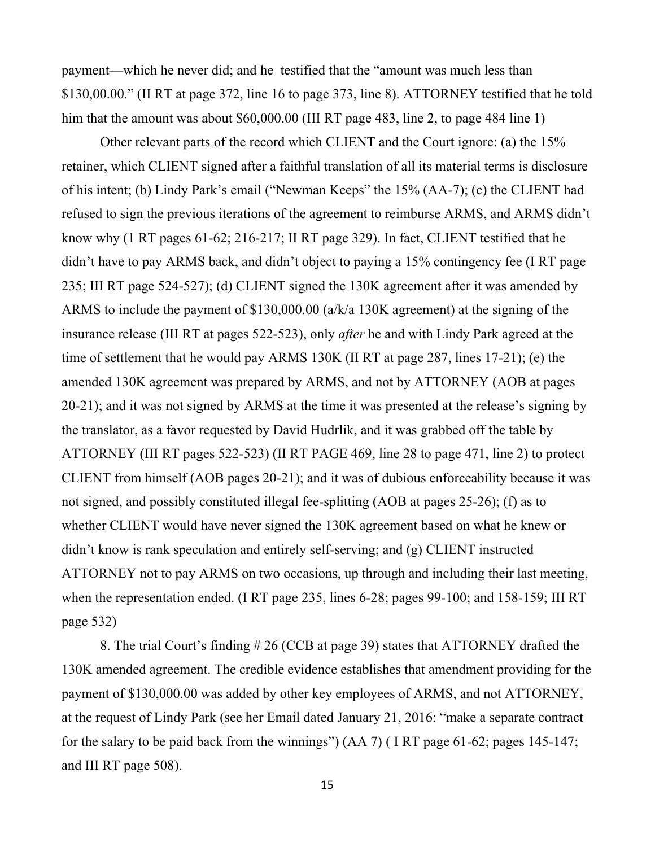payment—which he never did; and he testified that the "amount was much less than \$130,00.00." (II RT at page 372, line 16 to page 373, line 8). ATTORNEY testified that he told him that the amount was about \$60,000.00 (III RT page 483, line 2, to page 484 line 1)

Other relevant parts of the record which CLIENT and the Court ignore: (a) the 15% retainer, which CLIENT signed after a faithful translation of all its material terms is disclosure of his intent; (b) Lindy Park's email ("Newman Keeps" the 15% (AA-7); (c) the CLIENT had refused to sign the previous iterations of the agreement to reimburse ARMS, and ARMS didn't know why (1 RT pages 61-62; 216-217; II RT page 329). In fact, CLIENT testified that he didn't have to pay ARMS back, and didn't object to paying a 15% contingency fee (I RT page 235; III RT page 524-527); (d) CLIENT signed the 130K agreement after it was amended by ARMS to include the payment of \$130,000.00 (a/k/a 130K agreement) at the signing of the insurance release (III RT at pages 522-523), only *after* he and with Lindy Park agreed at the time of settlement that he would pay ARMS 130K (II RT at page 287, lines 17-21); (e) the amended 130K agreement was prepared by ARMS, and not by ATTORNEY (AOB at pages 20-21); and it was not signed by ARMS at the time it was presented at the release's signing by the translator, as a favor requested by David Hudrlik, and it was grabbed off the table by ATTORNEY (III RT pages 522-523) (II RT PAGE 469, line 28 to page 471, line 2) to protect CLIENT from himself (AOB pages 20-21); and it was of dubious enforceability because it was not signed, and possibly constituted illegal fee-splitting (AOB at pages 25-26); (f) as to whether CLIENT would have never signed the 130K agreement based on what he knew or didn't know is rank speculation and entirely self-serving; and (g) CLIENT instructed ATTORNEY not to pay ARMS on two occasions, up through and including their last meeting, when the representation ended. (I RT page 235, lines 6-28; pages 99-100; and 158-159; III RT page 532)

8. The trial Court's finding # 26 (CCB at page 39) states that ATTORNEY drafted the 130K amended agreement. The credible evidence establishes that amendment providing for the payment of \$130,000.00 was added by other key employees of ARMS, and not ATTORNEY, at the request of Lindy Park (see her Email dated January 21, 2016: "make a separate contract for the salary to be paid back from the winnings") (AA 7) ( I RT page 61-62; pages 145-147; and III RT page 508).

15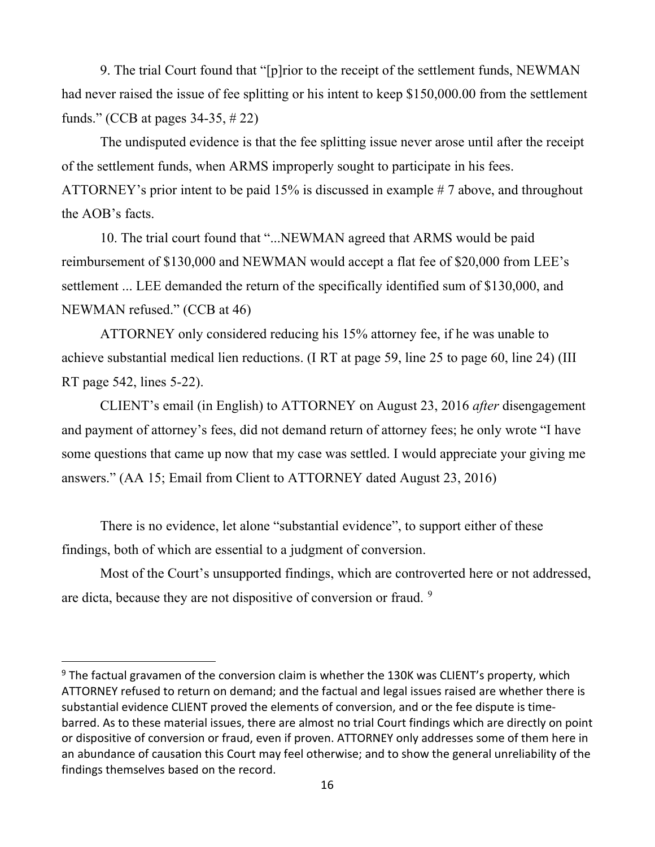9. The trial Court found that "[p]rior to the receipt of the settlement funds, NEWMAN had never raised the issue of fee splitting or his intent to keep \$150,000.00 from the settlement funds." (CCB at pages 34-35, # 22)

The undisputed evidence is that the fee splitting issue never arose until after the receipt of the settlement funds, when ARMS improperly sought to participate in his fees. ATTORNEY's prior intent to be paid 15% is discussed in example # 7 above, and throughout the AOB's facts.

10. The trial court found that "...NEWMAN agreed that ARMS would be paid reimbursement of \$130,000 and NEWMAN would accept a flat fee of \$20,000 from LEE's settlement ... LEE demanded the return of the specifically identified sum of \$130,000, and NEWMAN refused." (CCB at 46)

ATTORNEY only considered reducing his 15% attorney fee, if he was unable to achieve substantial medical lien reductions. (I RT at page 59, line 25 to page 60, line 24) (III RT page 542, lines 5-22).

CLIENT's email (in English) to ATTORNEY on August 23, 2016 *after* disengagement and payment of attorney's fees, did not demand return of attorney fees; he only wrote "I have some questions that came up now that my case was settled. I would appreciate your giving me answers." (AA 15; Email from Client to ATTORNEY dated August 23, 2016)

There is no evidence, let alone "substantial evidence", to support either of these findings, both of which are essential to a judgment of conversion.

Most of the Court's unsupported findings, which are controverted here or not addressed, are dicta, because they are not dispositive of conversion or fraud. [9](#page-15-0)

<span id="page-15-0"></span> $9$  The factual gravamen of the conversion claim is whether the 130K was CLIENT's property, which ATTORNEY refused to return on demand; and the factual and legal issues raised are whether there is substantial evidence CLIENT proved the elements of conversion, and or the fee dispute is timebarred. As to these material issues, there are almost no trial Court findings which are directly on point or dispositive of conversion or fraud, even if proven. ATTORNEY only addresses some of them here in an abundance of causation this Court may feel otherwise; and to show the general unreliability of the findings themselves based on the record.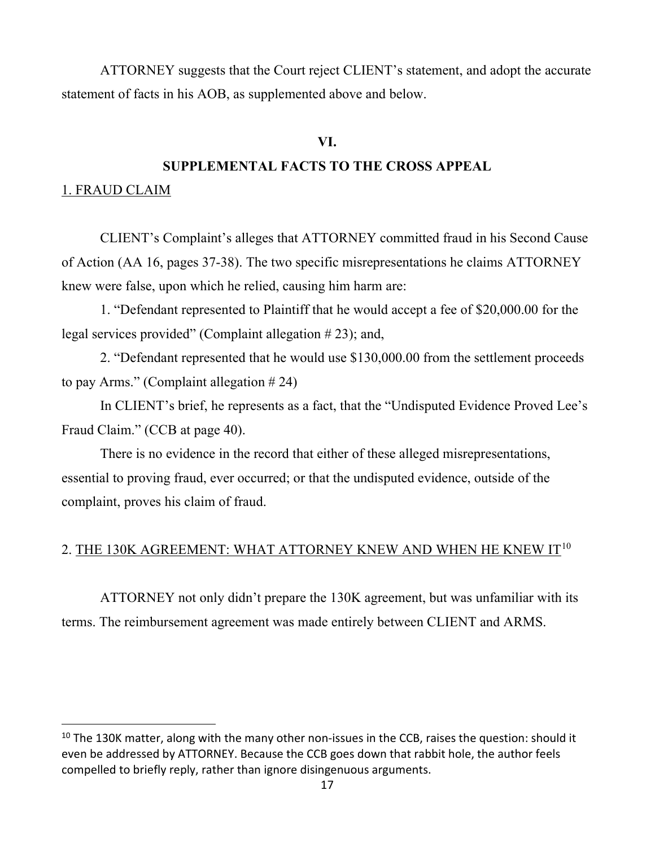<span id="page-16-0"></span>ATTORNEY suggests that the Court reject CLIENT's statement, and adopt the accurate statement of facts in his AOB, as supplemented above and below.

### **VI.**

## **SUPPLEMENTAL FACTS TO THE CROSS APPEAL**

#### 1. FRAUD CLAIM

CLIENT's Complaint's alleges that ATTORNEY committed fraud in his Second Cause of Action (AA 16, pages 37-38). The two specific misrepresentations he claims ATTORNEY knew were false, upon which he relied, causing him harm are:

1. "Defendant represented to Plaintiff that he would accept a fee of \$20,000.00 for the legal services provided" (Complaint allegation # 23); and,

2. "Defendant represented that he would use \$130,000.00 from the settlement proceeds to pay Arms." (Complaint allegation  $# 24$ )

In CLIENT's brief, he represents as a fact, that the "Undisputed Evidence Proved Lee's Fraud Claim." (CCB at page 40).

There is no evidence in the record that either of these alleged misrepresentations, essential to proving fraud, ever occurred; or that the undisputed evidence, outside of the complaint, proves his claim of fraud.

## 2. THE 130K AGREEMENT: WHAT ATTORNEY KNEW AND WHEN HE KNEW  $\Pi^{10}$  $\Pi^{10}$  $\Pi^{10}$

ATTORNEY not only didn't prepare the 130K agreement, but was unfamiliar with its terms. The reimbursement agreement was made entirely between CLIENT and ARMS.

<span id="page-16-1"></span> $10$  The 130K matter, along with the many other non-issues in the CCB, raises the question: should it even be addressed by ATTORNEY. Because the CCB goes down that rabbit hole, the author feels compelled to briefly reply, rather than ignore disingenuous arguments.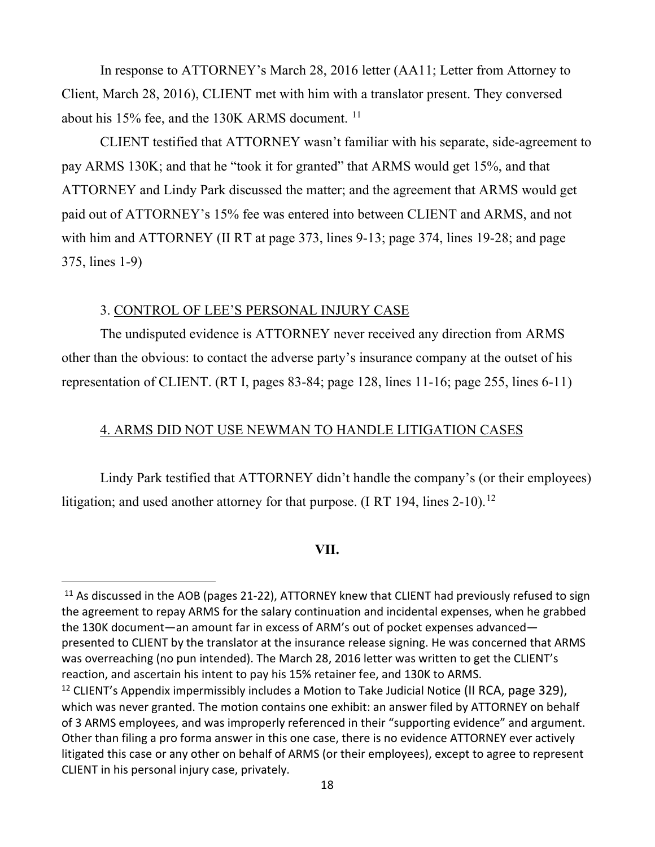<span id="page-17-0"></span>In response to ATTORNEY's March 28, 2016 letter (AA11; Letter from Attorney to Client, March 28, 2016), CLIENT met with him with a translator present. They conversed about his 15% fee, and the 130K ARMS document.<sup>[11](#page-17-1)</sup>

CLIENT testified that ATTORNEY wasn't familiar with his separate, side-agreement to pay ARMS 130K; and that he "took it for granted" that ARMS would get 15%, and that ATTORNEY and Lindy Park discussed the matter; and the agreement that ARMS would get paid out of ATTORNEY's 15% fee was entered into between CLIENT and ARMS, and not with him and ATTORNEY (II RT at page 373, lines 9-13; page 374, lines 19-28; and page 375, lines 1-9)

#### 3. CONTROL OF LEE'S PERSONAL INJURY CASE

The undisputed evidence is ATTORNEY never received any direction from ARMS other than the obvious: to contact the adverse party's insurance company at the outset of his representation of CLIENT. (RT I, pages 83-84; page 128, lines 11-16; page 255, lines 6-11)

## 4. ARMS DID NOT USE NEWMAN TO HANDLE LITIGATION CASES

Lindy Park testified that ATTORNEY didn't handle the company's (or their employees) litigation; and used another attorney for that purpose. (I RT 194, lines  $2-10$ ).<sup>[12](#page-17-2)</sup>

#### **VII.**

<span id="page-17-1"></span><sup>&</sup>lt;sup>11</sup> As discussed in the AOB (pages 21-22), ATTORNEY knew that CLIENT had previously refused to sign the agreement to repay ARMS for the salary continuation and incidental expenses, when he grabbed the 130K document—an amount far in excess of ARM's out of pocket expenses advanced presented to CLIENT by the translator at the insurance release signing. He was concerned that ARMS was overreaching (no pun intended). The March 28, 2016 letter was written to get the CLIENT's reaction, and ascertain his intent to pay his 15% retainer fee, and 130K to ARMS.

<span id="page-17-2"></span><sup>&</sup>lt;sup>12</sup> CLIENT's Appendix impermissibly includes a Motion to Take Judicial Notice (II RCA, page 329), which was never granted. The motion contains one exhibit: an answer filed by ATTORNEY on behalf of 3 ARMS employees, and was improperly referenced in their "supporting evidence" and argument. Other than filing a pro forma answer in this one case, there is no evidence ATTORNEY ever actively litigated this case or any other on behalf of ARMS (or their employees), except to agree to represent CLIENT in his personal injury case, privately.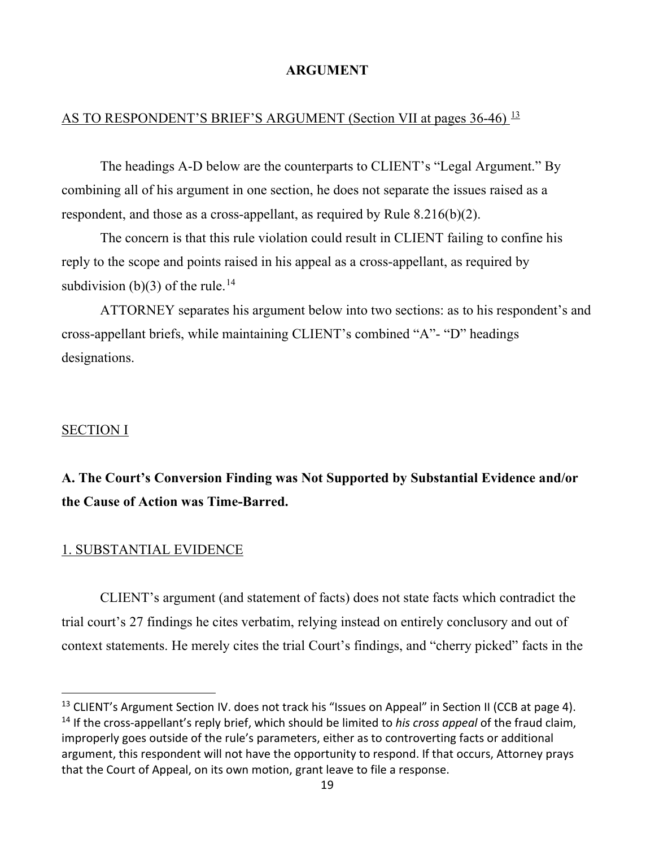### **ARGUMENT**

# <span id="page-18-0"></span>AS TO RESPONDENT'S BRIEF'S ARGUMENT (Section VII at pages 36-46) <sup>[13](#page-18-1)</sup>

The headings A-D below are the counterparts to CLIENT's "Legal Argument." By combining all of his argument in one section, he does not separate the issues raised as a respondent, and those as a cross-appellant, as required by Rule 8.216(b)(2).

The concern is that this rule violation could result in CLIENT failing to confine his reply to the scope and points raised in his appeal as a cross-appellant, as required by subdivision (b)(3) of the rule.<sup>[14](#page-18-2)</sup>

ATTORNEY separates his argument below into two sections: as to his respondent's and cross-appellant briefs, while maintaining CLIENT's combined "A"- "D" headings designations.

#### SECTION I

# **A. The Court's Conversion Finding was Not Supported by Substantial Evidence and/or the Cause of Action was Time-Barred.**

#### 1. SUBSTANTIAL EVIDENCE

CLIENT's argument (and statement of facts) does not state facts which contradict the trial court's 27 findings he cites verbatim, relying instead on entirely conclusory and out of context statements. He merely cites the trial Court's findings, and "cherry picked" facts in the

<span id="page-18-2"></span><span id="page-18-1"></span><sup>&</sup>lt;sup>13</sup> CLIENT's Argument Section IV. does not track his "Issues on Appeal" in Section II (CCB at page 4). <sup>14</sup> If the cross-appellant's reply brief, which should be limited to *his cross appeal* of the fraud claim, improperly goes outside of the rule's parameters, either as to controverting facts or additional argument, this respondent will not have the opportunity to respond. If that occurs, Attorney prays that the Court of Appeal, on its own motion, grant leave to file a response.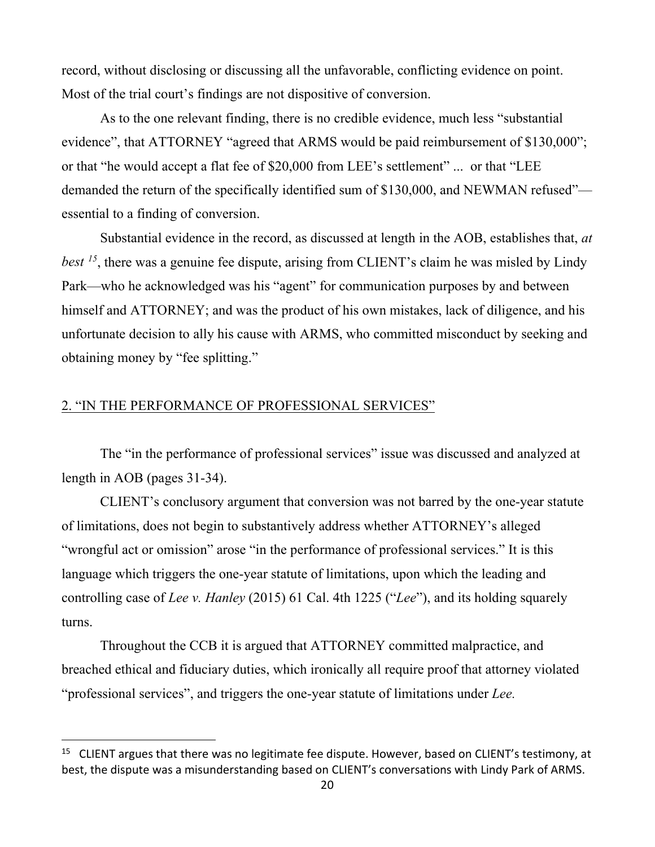<span id="page-19-0"></span>record, without disclosing or discussing all the unfavorable, conflicting evidence on point. Most of the trial court's findings are not dispositive of conversion.

As to the one relevant finding, there is no credible evidence, much less "substantial evidence", that ATTORNEY "agreed that ARMS would be paid reimbursement of \$130,000"; or that "he would accept a flat fee of \$20,000 from LEE's settlement" ... or that "LEE demanded the return of the specifically identified sum of \$130,000, and NEWMAN refused" essential to a finding of conversion.

Substantial evidence in the record, as discussed at length in the AOB, establishes that, *at best [15](#page-19-1)*, there was a genuine fee dispute, arising from CLIENT's claim he was misled by Lindy Park—who he acknowledged was his "agent" for communication purposes by and between himself and ATTORNEY; and was the product of his own mistakes, lack of diligence, and his unfortunate decision to ally his cause with ARMS, who committed misconduct by seeking and obtaining money by "fee splitting."

#### 2. "IN THE PERFORMANCE OF PROFESSIONAL SERVICES"

The "in the performance of professional services" issue was discussed and analyzed at length in AOB (pages 31-34).

CLIENT's conclusory argument that conversion was not barred by the one-year statute of limitations, does not begin to substantively address whether ATTORNEY's alleged "wrongful act or omission" arose "in the performance of professional services." It is this language which triggers the one-year statute of limitations, upon which the leading and controlling case of *Lee v. Hanley* (2015) 61 Cal. 4th 1225 ("*Lee*"), and its holding squarely turns.

Throughout the CCB it is argued that ATTORNEY committed malpractice, and breached ethical and fiduciary duties, which ironically all require proof that attorney violated "professional services", and triggers the one-year statute of limitations under *Lee.*

<span id="page-19-1"></span><sup>&</sup>lt;sup>15</sup> CLIENT argues that there was no legitimate fee dispute. However, based on CLIENT's testimony, at best, the dispute was a misunderstanding based on CLIENT's conversations with Lindy Park of ARMS.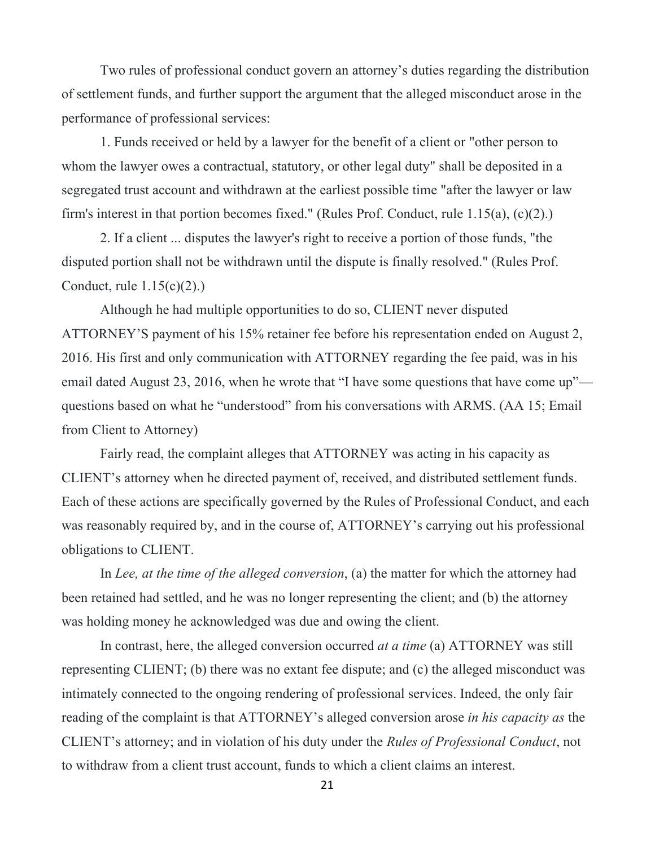<span id="page-20-0"></span>Two rules of professional conduct govern an attorney's duties regarding the distribution of settlement funds, and further support the argument that the alleged misconduct arose in the performance of professional services:

1. Funds received or held by a lawyer for the benefit of a client or "other person to whom the lawyer owes a contractual, statutory, or other legal duty" shall be deposited in a segregated trust account and withdrawn at the earliest possible time "after the lawyer or law firm's interest in that portion becomes fixed." (Rules Prof. Conduct, rule 1.15(a), (c)(2).)

2. If a client ... disputes the lawyer's right to receive a portion of those funds, "the disputed portion shall not be withdrawn until the dispute is finally resolved." (Rules Prof. Conduct, rule  $1.15(c)(2)$ .

Although he had multiple opportunities to do so, CLIENT never disputed ATTORNEY'S payment of his 15% retainer fee before his representation ended on August 2, 2016. His first and only communication with ATTORNEY regarding the fee paid, was in his email dated August 23, 2016, when he wrote that "I have some questions that have come up" questions based on what he "understood" from his conversations with ARMS. (AA 15; Email from Client to Attorney)

Fairly read, the complaint alleges that ATTORNEY was acting in his capacity as CLIENT's attorney when he directed payment of, received, and distributed settlement funds. Each of these actions are specifically governed by the Rules of Professional Conduct, and each was reasonably required by, and in the course of, ATTORNEY's carrying out his professional obligations to CLIENT.

In *Lee, at the time of the alleged conversion*, (a) the matter for which the attorney had been retained had settled, and he was no longer representing the client; and (b) the attorney was holding money he acknowledged was due and owing the client.

In contrast, here, the alleged conversion occurred *at a time* (a) ATTORNEY was still representing CLIENT; (b) there was no extant fee dispute; and (c) the alleged misconduct was intimately connected to the ongoing rendering of professional services. Indeed, the only fair reading of the complaint is that ATTORNEY's alleged conversion arose *in his capacity as* the CLIENT's attorney; and in violation of his duty under the *Rules of Professional Conduct*, not to withdraw from a client trust account, funds to which a client claims an interest.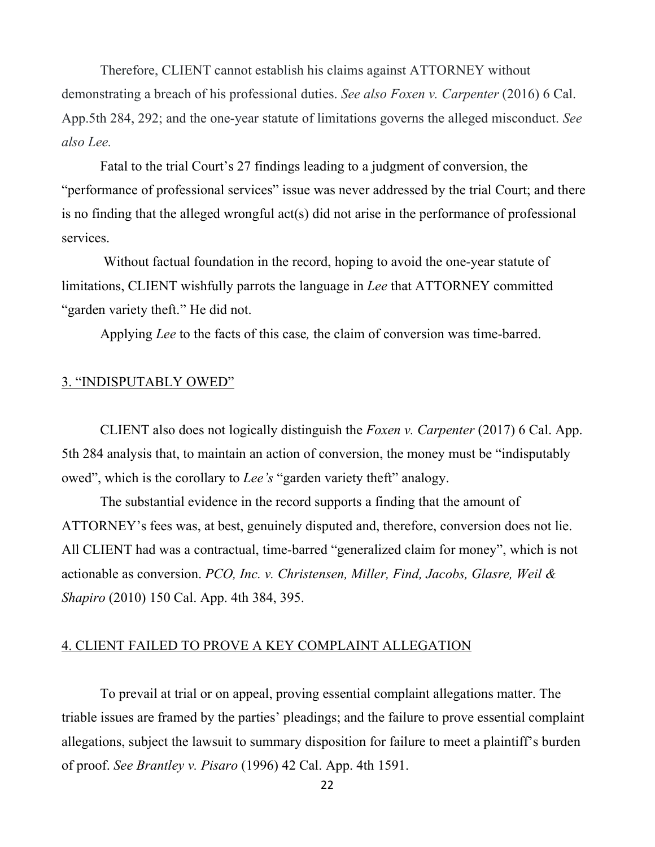<span id="page-21-0"></span>Therefore, CLIENT cannot establish his claims against ATTORNEY without demonstrating a breach of his professional duties. *See also Foxen v. Carpenter* (2016) 6 Cal. App.5th 284, 292; and the one-year statute of limitations governs the alleged misconduct. *See also Lee.*

Fatal to the trial Court's 27 findings leading to a judgment of conversion, the "performance of professional services" issue was never addressed by the trial Court; and there is no finding that the alleged wrongful act(s) did not arise in the performance of professional services.

Without factual foundation in the record, hoping to avoid the one-year statute of limitations, CLIENT wishfully parrots the language in *Lee* that ATTORNEY committed "garden variety theft." He did not.

Applying *Lee* to the facts of this case*,* the claim of conversion was time-barred.

#### 3. "INDISPUTABLY OWED"

CLIENT also does not logically distinguish the *Foxen v. Carpenter* (2017) 6 Cal. App. 5th 284 analysis that, to maintain an action of conversion, the money must be "indisputably owed", which is the corollary to *Lee's* "garden variety theft" analogy.

The substantial evidence in the record supports a finding that the amount of ATTORNEY's fees was, at best, genuinely disputed and, therefore, conversion does not lie. All CLIENT had was a contractual, time-barred "generalized claim for money", which is not actionable as conversion. *PCO, Inc. v. Christensen, Miller, Find, Jacobs, Glasre, Weil & Shapiro* (2010) 150 Cal. App. 4th 384, 395.

#### 4. CLIENT FAILED TO PROVE A KEY COMPLAINT ALLEGATION

To prevail at trial or on appeal, proving essential complaint allegations matter. The triable issues are framed by the parties' pleadings; and the failure to prove essential complaint allegations, subject the lawsuit to summary disposition for failure to meet a plaintiff's burden of proof. *See Brantley v. Pisaro* (1996) 42 Cal. App. 4th 1591.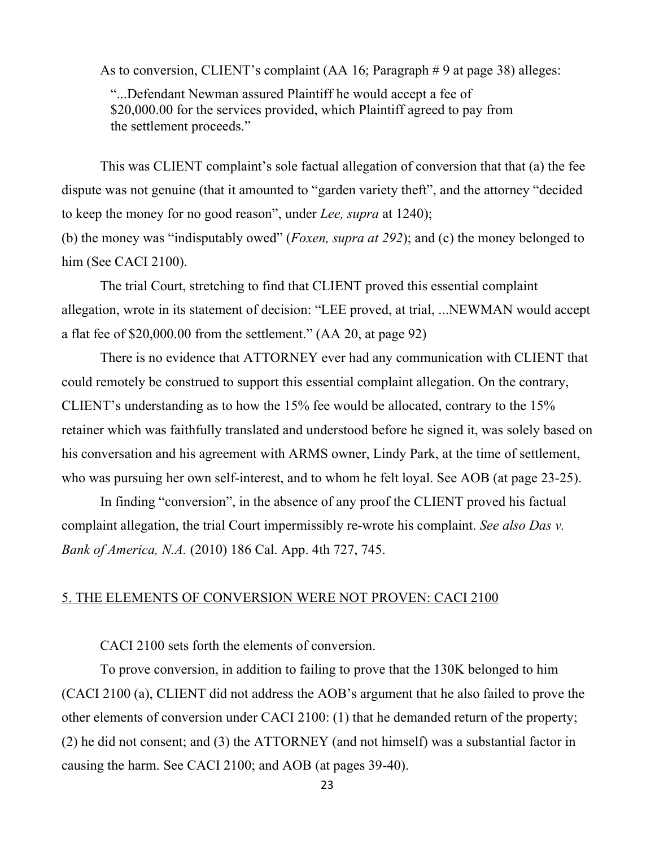<span id="page-22-0"></span>As to conversion, CLIENT's complaint (AA 16; Paragraph # 9 at page 38) alleges:

 "...Defendant Newman assured Plaintiff he would accept a fee of \$20,000.00 for the services provided, which Plaintiff agreed to pay from the settlement proceeds."

This was CLIENT complaint's sole factual allegation of conversion that that (a) the fee dispute was not genuine (that it amounted to "garden variety theft", and the attorney "decided to keep the money for no good reason", under *Lee, supra* at 1240);

(b) the money was "indisputably owed" (*Foxen, supra at 292*); and (c) the money belonged to him (See CACI 2100).

The trial Court, stretching to find that CLIENT proved this essential complaint allegation, wrote in its statement of decision: "LEE proved, at trial, ...NEWMAN would accept a flat fee of \$20,000.00 from the settlement." (AA 20, at page 92)

There is no evidence that ATTORNEY ever had any communication with CLIENT that could remotely be construed to support this essential complaint allegation. On the contrary, CLIENT's understanding as to how the 15% fee would be allocated, contrary to the 15% retainer which was faithfully translated and understood before he signed it, was solely based on his conversation and his agreement with ARMS owner, Lindy Park, at the time of settlement, who was pursuing her own self-interest, and to whom he felt loyal. See AOB (at page 23-25).

In finding "conversion", in the absence of any proof the CLIENT proved his factual complaint allegation, the trial Court impermissibly re-wrote his complaint. *See also Das v. Bank of America, N.A.* (2010) 186 Cal. App. 4th 727, 745.

#### 5. THE ELEMENTS OF CONVERSION WERE NOT PROVEN: CACI 2100

CACI 2100 sets forth the elements of conversion.

To prove conversion, in addition to failing to prove that the 130K belonged to him (CACI 2100 (a), CLIENT did not address the AOB's argument that he also failed to prove the other elements of conversion under CACI 2100: (1) that he demanded return of the property; (2) he did not consent; and (3) the ATTORNEY (and not himself) was a substantial factor in causing the harm. See CACI 2100; and AOB (at pages 39-40).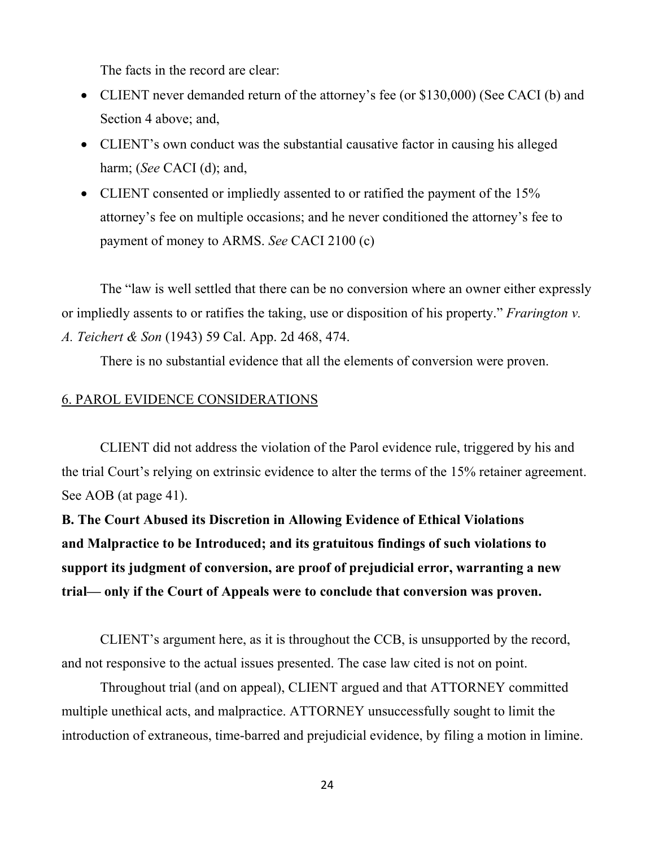<span id="page-23-0"></span>The facts in the record are clear:

- CLIENT never demanded return of the attorney's fee (or \$130,000) (See CACI (b) and Section 4 above; and,
- CLIENT's own conduct was the substantial causative factor in causing his alleged harm; (*See* CACI (d); and,
- CLIENT consented or impliedly assented to or ratified the payment of the 15% attorney's fee on multiple occasions; and he never conditioned the attorney's fee to payment of money to ARMS. *See* CACI 2100 (c)

The "law is well settled that there can be no conversion where an owner either expressly or impliedly assents to or ratifies the taking, use or disposition of his property." *Frarington v. A. Teichert & Son* (1943) 59 Cal. App. 2d 468, 474.

There is no substantial evidence that all the elements of conversion were proven.

### 6. PAROL EVIDENCE CONSIDERATIONS

CLIENT did not address the violation of the Parol evidence rule, triggered by his and the trial Court's relying on extrinsic evidence to alter the terms of the 15% retainer agreement. See AOB (at page 41).

**B. The Court Abused its Discretion in Allowing Evidence of Ethical Violations and Malpractice to be Introduced; and its gratuitous findings of such violations to support its judgment of conversion, are proof of prejudicial error, warranting a new trial— only if the Court of Appeals were to conclude that conversion was proven.** 

CLIENT's argument here, as it is throughout the CCB, is unsupported by the record, and not responsive to the actual issues presented. The case law cited is not on point.

Throughout trial (and on appeal), CLIENT argued and that ATTORNEY committed multiple unethical acts, and malpractice. ATTORNEY unsuccessfully sought to limit the introduction of extraneous, time-barred and prejudicial evidence, by filing a motion in limine.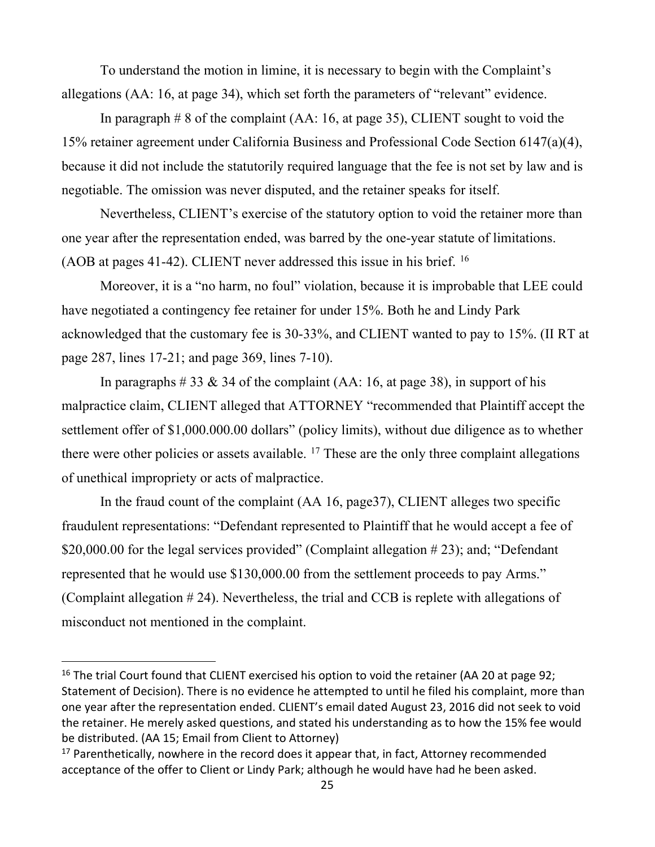<span id="page-24-0"></span>To understand the motion in limine, it is necessary to begin with the Complaint's allegations (AA: 16, at page 34), which set forth the parameters of "relevant" evidence.

In paragraph # 8 of the complaint (AA: 16, at page 35), CLIENT sought to void the 15% retainer agreement under California Business and Professional Code Section 6147(a)(4), because it did not include the statutorily required language that the fee is not set by law and is negotiable. The omission was never disputed, and the retainer speaks for itself.

Nevertheless, CLIENT's exercise of the statutory option to void the retainer more than one year after the representation ended, was barred by the one-year statute of limitations. (AOB at pages 41-42). CLIENT never addressed this issue in his brief. [16](#page-24-1)

Moreover, it is a "no harm, no foul" violation, because it is improbable that LEE could have negotiated a contingency fee retainer for under 15%. Both he and Lindy Park acknowledged that the customary fee is 30-33%, and CLIENT wanted to pay to 15%. (II RT at page 287, lines 17-21; and page 369, lines 7-10).

In paragraphs  $\# 33 \& 34$  of the complaint (AA: 16, at page 38), in support of his malpractice claim, CLIENT alleged that ATTORNEY "recommended that Plaintiff accept the settlement offer of \$1,000.000.00 dollars" (policy limits), without due diligence as to whether there were other policies or assets available.  $17$  These are the only three complaint allegations of unethical impropriety or acts of malpractice.

In the fraud count of the complaint (AA 16, page37), CLIENT alleges two specific fraudulent representations: "Defendant represented to Plaintiff that he would accept a fee of \$20,000.00 for the legal services provided" (Complaint allegation #23); and; "Defendant represented that he would use \$130,000.00 from the settlement proceeds to pay Arms." (Complaint allegation # 24). Nevertheless, the trial and CCB is replete with allegations of misconduct not mentioned in the complaint.

<span id="page-24-1"></span> $16$  The trial Court found that CLIENT exercised his option to void the retainer (AA 20 at page 92; Statement of Decision). There is no evidence he attempted to until he filed his complaint, more than one year after the representation ended. CLIENT's email dated August 23, 2016 did not seek to void the retainer. He merely asked questions, and stated his understanding as to how the 15% fee would be distributed. (AA 15; Email from Client to Attorney)

<span id="page-24-2"></span> $17$  Parenthetically, nowhere in the record does it appear that, in fact, Attorney recommended acceptance of the offer to Client or Lindy Park; although he would have had he been asked.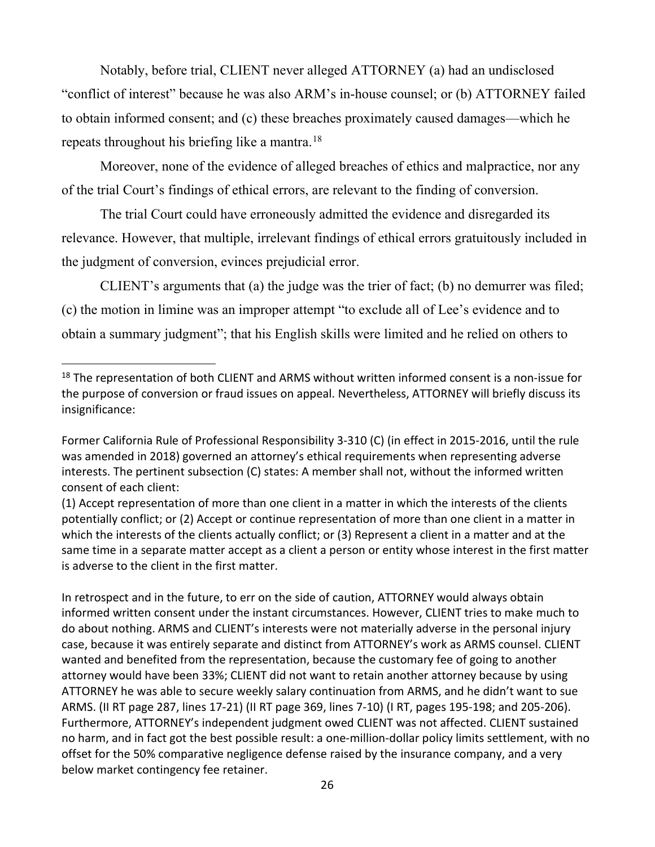<span id="page-25-0"></span>Notably, before trial, CLIENT never alleged ATTORNEY (a) had an undisclosed "conflict of interest" because he was also ARM's in-house counsel; or (b) ATTORNEY failed to obtain informed consent; and (c) these breaches proximately caused damages—which he repeats throughout his briefing like a mantra.[18](#page-25-1)

Moreover, none of the evidence of alleged breaches of ethics and malpractice, nor any of the trial Court's findings of ethical errors, are relevant to the finding of conversion.

The trial Court could have erroneously admitted the evidence and disregarded its relevance. However, that multiple, irrelevant findings of ethical errors gratuitously included in the judgment of conversion, evinces prejudicial error.

CLIENT's arguments that (a) the judge was the trier of fact; (b) no demurrer was filed; (c) the motion in limine was an improper attempt "to exclude all of Lee's evidence and to obtain a summary judgment"; that his English skills were limited and he relied on others to

In retrospect and in the future, to err on the side of caution, ATTORNEY would always obtain informed written consent under the instant circumstances. However, CLIENT tries to make much to do about nothing. ARMS and CLIENT's interests were not materially adverse in the personal injury case, because it was entirely separate and distinct from ATTORNEY's work as ARMS counsel. CLIENT wanted and benefited from the representation, because the customary fee of going to another attorney would have been 33%; CLIENT did not want to retain another attorney because by using ATTORNEY he was able to secure weekly salary continuation from ARMS, and he didn't want to sue ARMS. (II RT page 287, lines 17-21) (II RT page 369, lines 7-10) (I RT, pages 195-198; and 205-206). Furthermore, ATTORNEY's independent judgment owed CLIENT was not affected. CLIENT sustained no harm, and in fact got the best possible result: a one-million-dollar policy limits settlement, with no offset for the 50% comparative negligence defense raised by the insurance company, and a very below market contingency fee retainer.

<span id="page-25-1"></span><sup>&</sup>lt;sup>18</sup> The representation of both CLIENT and ARMS without written informed consent is a non-issue for the purpose of conversion or fraud issues on appeal. Nevertheless, ATTORNEY will briefly discuss its insignificance:

Former California Rule of Professional Responsibility 3-310 (C) (in effect in 2015-2016, until the rule was amended in 2018) governed an attorney's ethical requirements when representing adverse interests. The pertinent subsection (C) states: A member shall not, without the informed written consent of each client:

<sup>(1)</sup> Accept representation of more than one client in a matter in which the interests of the clients potentially conflict; or (2) Accept or continue representation of more than one client in a matter in which the interests of the clients actually conflict; or (3) Represent a client in a matter and at the same time in a separate matter accept as a client a person or entity whose interest in the first matter is adverse to the client in the first matter.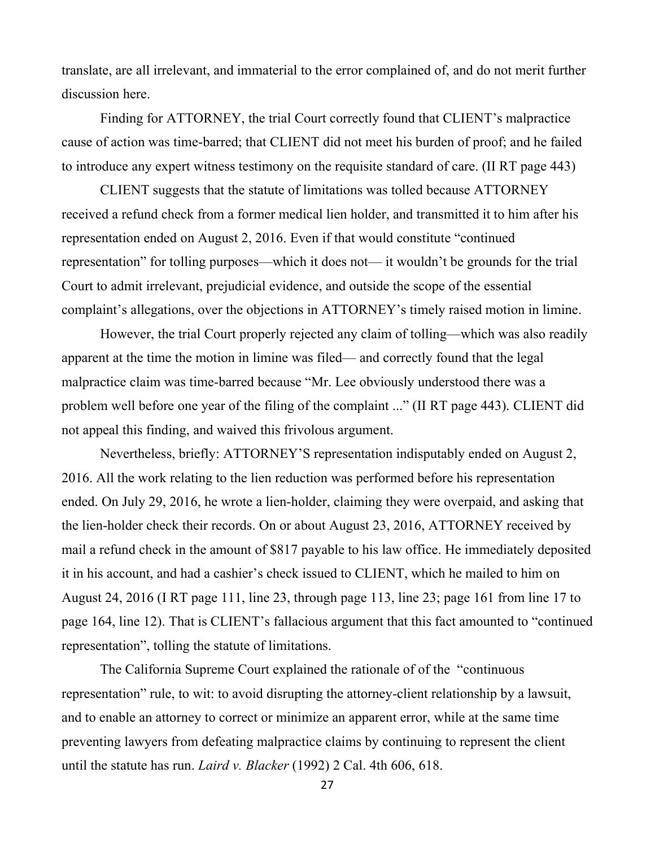<span id="page-26-0"></span>translate, are all irrelevant, and immaterial to the error complained of, and do not merit further discussion here.

Finding for ATTORNEY, the trial Court correctly found that CLIENT's malpractice cause of action was time-barred; that CLIENT did not meet his burden of proof; and he failed to introduce any expert witness testimony on the requisite standard of care. (II RT page 443)

CLIENT suggests that the statute of limitations was tolled because ATTORNEY received a refund check from a former medical lien holder, and transmitted it to him after his representation ended on August 2, 2016. Even if that would constitute "continued representation" for tolling purposes—which it does not— it wouldn't be grounds for the trial Court to admit irrelevant, prejudicial evidence, and outside the scope of the essential complaint's allegations, over the objections in ATTORNEY's timely raised motion in limine.

However, the trial Court properly rejected any claim of tolling—which was also readily apparent at the time the motion in limine was filed— and correctly found that the legal malpractice claim was time-barred because "Mr. Lee obviously understood there was a problem well before one year of the filing of the complaint ..." (II RT page 443). CLIENT did not appeal this finding, and waived this frivolous argument.

Nevertheless, briefly: ATTORNEY'S representation indisputably ended on August 2, 2016. All the work relating to the lien reduction was performed before his representation ended. On July 29, 2016, he wrote a lien-holder, claiming they were overpaid, and asking that the lien-holder check their records. On or about August 23, 2016, ATTORNEY received by mail a refund check in the amount of \$817 payable to his law office. He immediately deposited it in his account, and had a cashier's check issued to CLIENT, which he mailed to him on August 24, 2016 (I RT page 111, line 23, through page 113, line 23; page 161 from line 17 to page 164, line 12). That is CLIENT's fallacious argument that this fact amounted to "continued representation", tolling the statute of limitations.

The California Supreme Court explained the rationale of of the "continuous representation" rule, to wit: to avoid disrupting the attorney-client relationship by a lawsuit, and to enable an attorney to correct or minimize an apparent error, while at the same time preventing lawyers from defeating malpractice claims by continuing to represent the client until the statute has run. *Laird v. Blacker* (1992) 2 Cal. 4th 606, 618.

27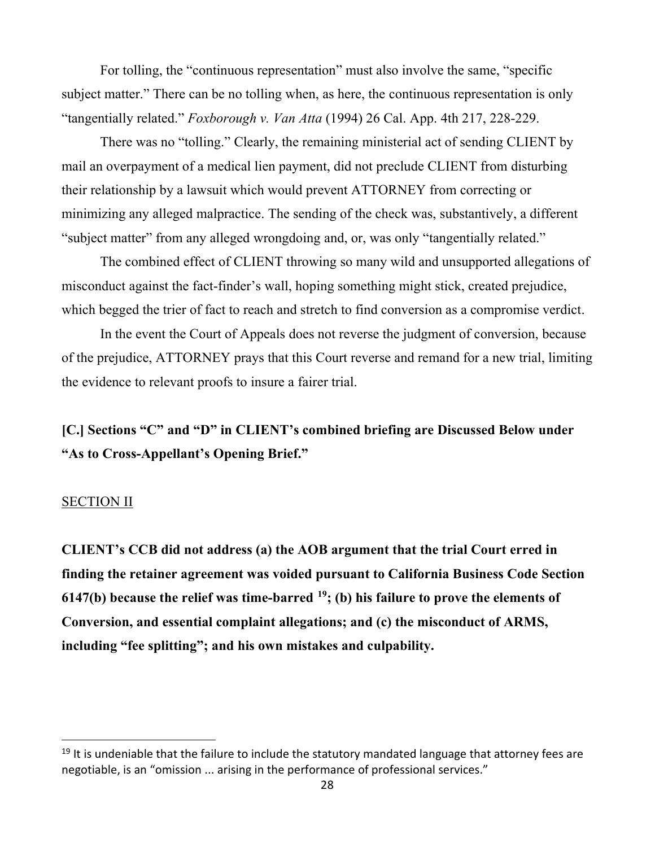<span id="page-27-0"></span>For tolling, the "continuous representation" must also involve the same, "specific subject matter." There can be no tolling when, as here, the continuous representation is only "tangentially related." *Foxborough v. Van Atta* (1994) 26 Cal. App. 4th 217, 228-229.

There was no "tolling." Clearly, the remaining ministerial act of sending CLIENT by mail an overpayment of a medical lien payment, did not preclude CLIENT from disturbing their relationship by a lawsuit which would prevent ATTORNEY from correcting or minimizing any alleged malpractice. The sending of the check was, substantively, a different "subject matter" from any alleged wrongdoing and, or, was only "tangentially related."

The combined effect of CLIENT throwing so many wild and unsupported allegations of misconduct against the fact-finder's wall, hoping something might stick, created prejudice, which begged the trier of fact to reach and stretch to find conversion as a compromise verdict.

In the event the Court of Appeals does not reverse the judgment of conversion, because of the prejudice, ATTORNEY prays that this Court reverse and remand for a new trial, limiting the evidence to relevant proofs to insure a fairer trial.

**[C.] Sections "C" and "D" in CLIENT's combined briefing are Discussed Below under "As to Cross-Appellant's Opening Brief."**

#### SECTION II

**CLIENT's CCB did not address (a) the AOB argument that the trial Court erred in finding the retainer agreement was voided pursuant to California Business Code Section 6147(b) because the relief was time-barred [19;](#page-27-1) (b) his failure to prove the elements of Conversion, and essential complaint allegations; and (c) the misconduct of ARMS, including "fee splitting"; and his own mistakes and culpability.**

<span id="page-27-1"></span> $19$  It is undeniable that the failure to include the statutory mandated language that attorney fees are negotiable, is an "omission ... arising in the performance of professional services."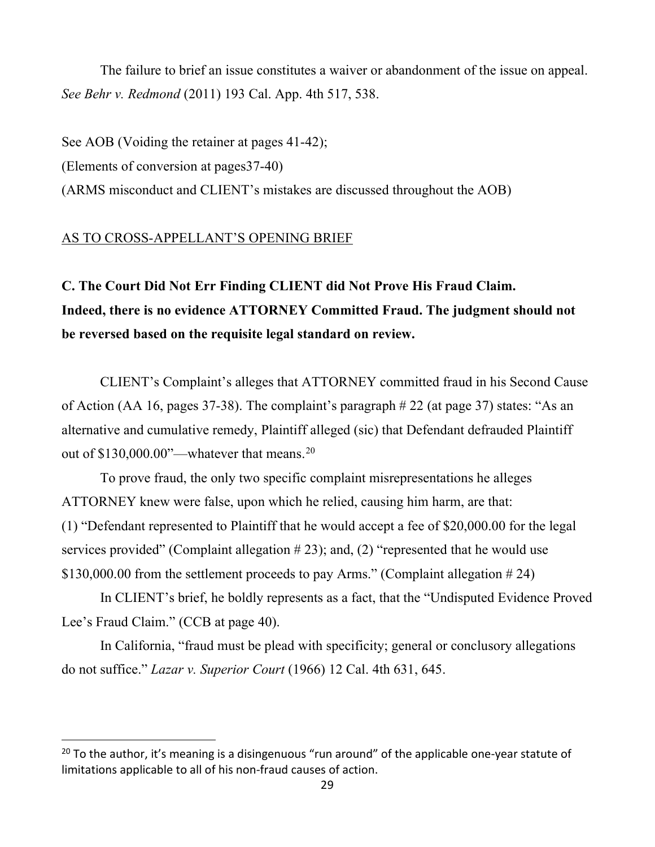<span id="page-28-0"></span>The failure to brief an issue constitutes a waiver or abandonment of the issue on appeal. *See Behr v. Redmond* (2011) 193 Cal. App. 4th 517, 538.

See AOB (Voiding the retainer at pages 41-42);

(Elements of conversion at pages37-40)

(ARMS misconduct and CLIENT's mistakes are discussed throughout the AOB)

### AS TO CROSS-APPELLANT'S OPENING BRIEF

**C. The Court Did Not Err Finding CLIENT did Not Prove His Fraud Claim. Indeed, there is no evidence ATTORNEY Committed Fraud. The judgment should not be reversed based on the requisite legal standard on review.** 

CLIENT's Complaint's alleges that ATTORNEY committed fraud in his Second Cause of Action (AA 16, pages 37-38). The complaint's paragraph # 22 (at page 37) states: "As an alternative and cumulative remedy, Plaintiff alleged (sic) that Defendant defrauded Plaintiff out of \$130,000.00"—whatever that means.<sup>[20](#page-28-1)</sup>

To prove fraud, the only two specific complaint misrepresentations he alleges ATTORNEY knew were false, upon which he relied, causing him harm, are that: (1) "Defendant represented to Plaintiff that he would accept a fee of \$20,000.00 for the legal services provided" (Complaint allegation  $\# 23$ ); and, (2) "represented that he would use \$130,000.00 from the settlement proceeds to pay Arms." (Complaint allegation # 24)

In CLIENT's brief, he boldly represents as a fact, that the "Undisputed Evidence Proved Lee's Fraud Claim." (CCB at page 40).

In California, "fraud must be plead with specificity; general or conclusory allegations do not suffice." *Lazar v. Superior Court* (1966) 12 Cal. 4th 631, 645.

<span id="page-28-1"></span> $20$  To the author, it's meaning is a disingenuous "run around" of the applicable one-year statute of limitations applicable to all of his non-fraud causes of action.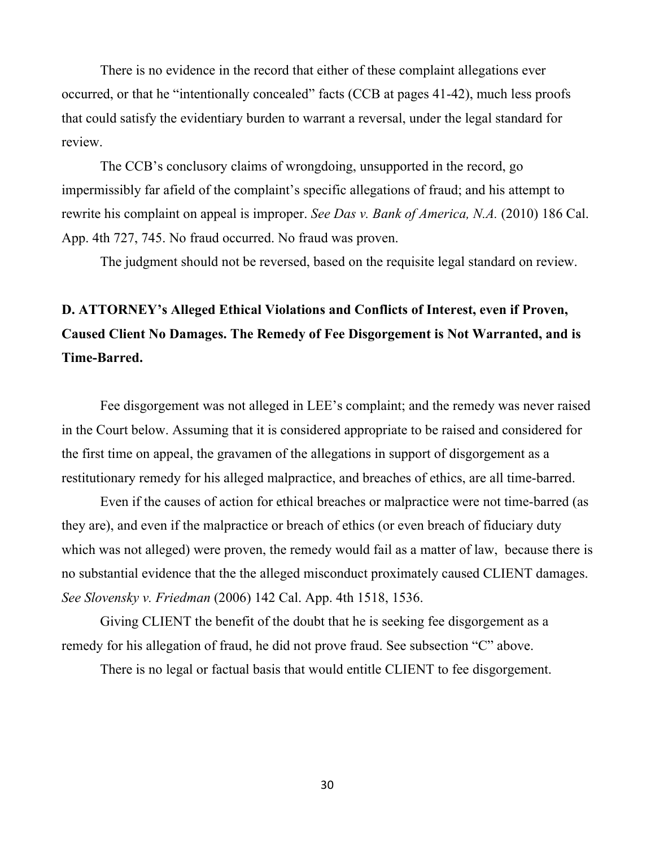<span id="page-29-0"></span>There is no evidence in the record that either of these complaint allegations ever occurred, or that he "intentionally concealed" facts (CCB at pages 41-42), much less proofs that could satisfy the evidentiary burden to warrant a reversal, under the legal standard for review.

The CCB's conclusory claims of wrongdoing, unsupported in the record, go impermissibly far afield of the complaint's specific allegations of fraud; and his attempt to rewrite his complaint on appeal is improper. *See Das v. Bank of America, N.A.* (2010) 186 Cal. App. 4th 727, 745. No fraud occurred. No fraud was proven.

The judgment should not be reversed, based on the requisite legal standard on review.

# **D. ATTORNEY's Alleged Ethical Violations and Conflicts of Interest, even if Proven, Caused Client No Damages. The Remedy of Fee Disgorgement is Not Warranted, and is Time-Barred.**

Fee disgorgement was not alleged in LEE's complaint; and the remedy was never raised in the Court below. Assuming that it is considered appropriate to be raised and considered for the first time on appeal, the gravamen of the allegations in support of disgorgement as a restitutionary remedy for his alleged malpractice, and breaches of ethics, are all time-barred.

Even if the causes of action for ethical breaches or malpractice were not time-barred (as they are), and even if the malpractice or breach of ethics (or even breach of fiduciary duty which was not alleged) were proven, the remedy would fail as a matter of law, because there is no substantial evidence that the the alleged misconduct proximately caused CLIENT damages. *See Slovensky v. Friedman* (2006) 142 Cal. App. 4th 1518, 1536.

Giving CLIENT the benefit of the doubt that he is seeking fee disgorgement as a remedy for his allegation of fraud, he did not prove fraud. See subsection "C" above.

There is no legal or factual basis that would entitle CLIENT to fee disgorgement.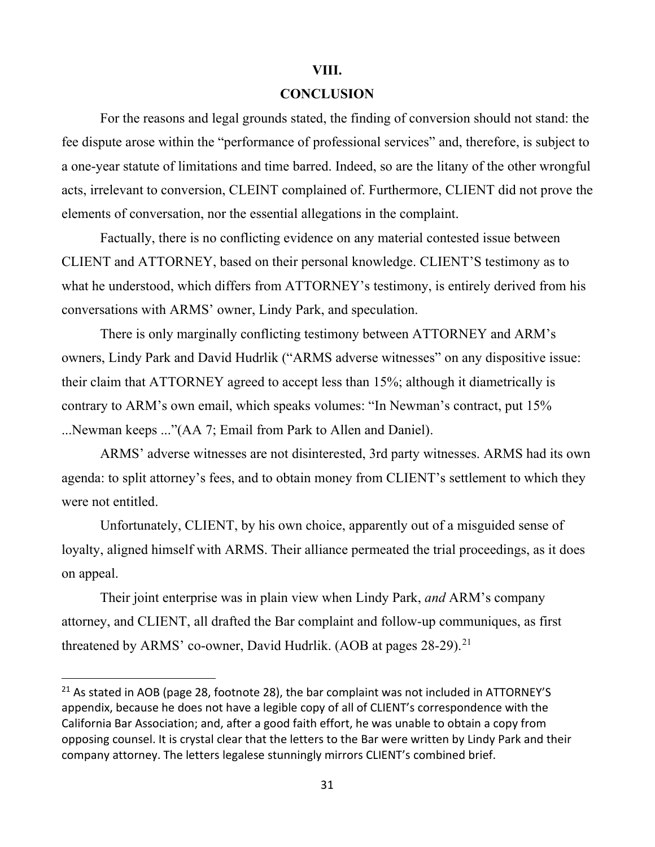#### **VIII.**

#### **CONCLUSION**

For the reasons and legal grounds stated, the finding of conversion should not stand: the fee dispute arose within the "performance of professional services" and, therefore, is subject to a one-year statute of limitations and time barred. Indeed, so are the litany of the other wrongful acts, irrelevant to conversion, CLEINT complained of. Furthermore, CLIENT did not prove the elements of conversation, nor the essential allegations in the complaint.

Factually, there is no conflicting evidence on any material contested issue between CLIENT and ATTORNEY, based on their personal knowledge. CLIENT'S testimony as to what he understood, which differs from ATTORNEY's testimony, is entirely derived from his conversations with ARMS' owner, Lindy Park, and speculation.

There is only marginally conflicting testimony between ATTORNEY and ARM's owners, Lindy Park and David Hudrlik ("ARMS adverse witnesses" on any dispositive issue: their claim that ATTORNEY agreed to accept less than 15%; although it diametrically is contrary to ARM's own email, which speaks volumes: "In Newman's contract, put 15% ...Newman keeps ..."(AA 7; Email from Park to Allen and Daniel).

ARMS' adverse witnesses are not disinterested, 3rd party witnesses. ARMS had its own agenda: to split attorney's fees, and to obtain money from CLIENT's settlement to which they were not entitled.

Unfortunately, CLIENT, by his own choice, apparently out of a misguided sense of loyalty, aligned himself with ARMS. Their alliance permeated the trial proceedings, as it does on appeal.

Their joint enterprise was in plain view when Lindy Park, *and* ARM's company attorney, and CLIENT, all drafted the Bar complaint and follow-up communiques, as first threatened by ARMS' co-owner, David Hudrlik. (AOB at pages 28-29).<sup>[21](#page-30-0)</sup>

<span id="page-30-0"></span><sup>&</sup>lt;sup>21</sup> As stated in AOB (page 28, footnote 28), the bar complaint was not included in ATTORNEY'S appendix, because he does not have a legible copy of all of CLIENT's correspondence with the California Bar Association; and, after a good faith effort, he was unable to obtain a copy from opposing counsel. It is crystal clear that the letters to the Bar were written by Lindy Park and their company attorney. The letters legalese stunningly mirrors CLIENT's combined brief.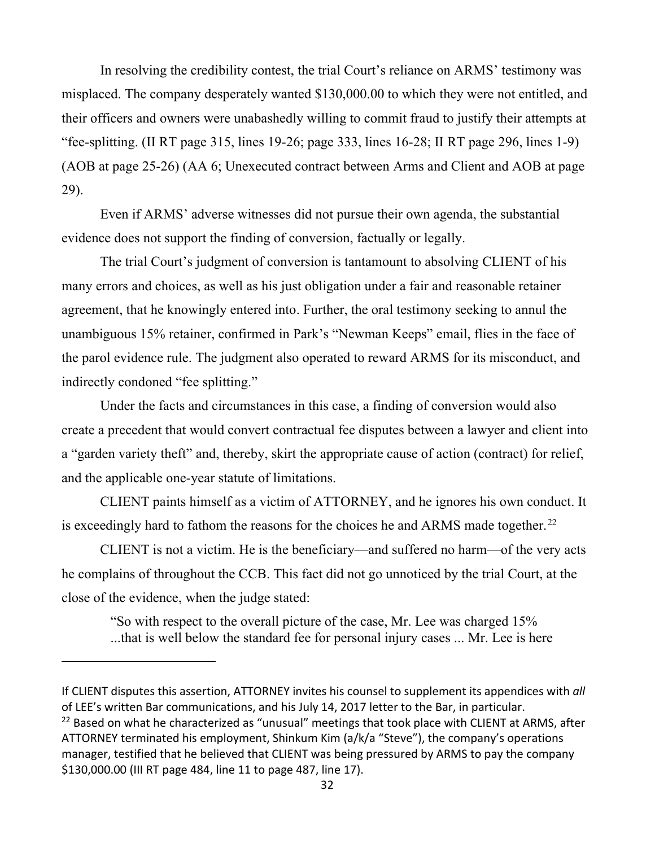In resolving the credibility contest, the trial Court's reliance on ARMS' testimony was misplaced. The company desperately wanted \$130,000.00 to which they were not entitled, and their officers and owners were unabashedly willing to commit fraud to justify their attempts at "fee-splitting. (II RT page 315, lines 19-26; page 333, lines 16-28; II RT page 296, lines 1-9) (AOB at page 25-26) (AA 6; Unexecuted contract between Arms and Client and AOB at page 29).

Even if ARMS' adverse witnesses did not pursue their own agenda, the substantial evidence does not support the finding of conversion, factually or legally.

The trial Court's judgment of conversion is tantamount to absolving CLIENT of his many errors and choices, as well as his just obligation under a fair and reasonable retainer agreement, that he knowingly entered into. Further, the oral testimony seeking to annul the unambiguous 15% retainer, confirmed in Park's "Newman Keeps" email, flies in the face of the parol evidence rule. The judgment also operated to reward ARMS for its misconduct, and indirectly condoned "fee splitting."

Under the facts and circumstances in this case, a finding of conversion would also create a precedent that would convert contractual fee disputes between a lawyer and client into a "garden variety theft" and, thereby, skirt the appropriate cause of action (contract) for relief, and the applicable one-year statute of limitations.

CLIENT paints himself as a victim of ATTORNEY, and he ignores his own conduct. It is exceedingly hard to fathom the reasons for the choices he and ARMS made together.<sup>[22](#page-31-0)</sup>

CLIENT is not a victim. He is the beneficiary—and suffered no harm—of the very acts he complains of throughout the CCB. This fact did not go unnoticed by the trial Court, at the close of the evidence, when the judge stated:

 "So with respect to the overall picture of the case, Mr. Lee was charged 15% ...that is well below the standard fee for personal injury cases ... Mr. Lee is here

If CLIENT disputes this assertion, ATTORNEY invites his counsel to supplement its appendices with *all* of LEE's written Bar communications, and his July 14, 2017 letter to the Bar, in particular.

<span id="page-31-0"></span><sup>&</sup>lt;sup>22</sup> Based on what he characterized as "unusual" meetings that took place with CLIENT at ARMS, after ATTORNEY terminated his employment, Shinkum Kim (a/k/a "Steve"), the company's operations manager, testified that he believed that CLIENT was being pressured by ARMS to pay the company \$130,000.00 (III RT page 484, line 11 to page 487, line 17).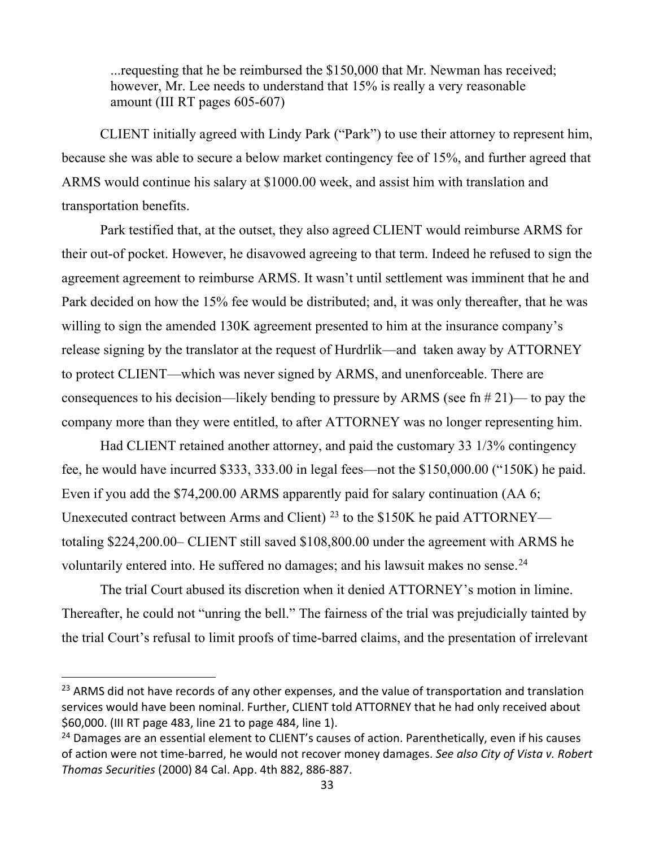<span id="page-32-0"></span> ...requesting that he be reimbursed the \$150,000 that Mr. Newman has received; however, Mr. Lee needs to understand that 15% is really a very reasonable amount (III RT pages 605-607)

CLIENT initially agreed with Lindy Park ("Park") to use their attorney to represent him, because she was able to secure a below market contingency fee of 15%, and further agreed that ARMS would continue his salary at \$1000.00 week, and assist him with translation and transportation benefits.

Park testified that, at the outset, they also agreed CLIENT would reimburse ARMS for their out-of pocket. However, he disavowed agreeing to that term. Indeed he refused to sign the agreement agreement to reimburse ARMS. It wasn't until settlement was imminent that he and Park decided on how the 15% fee would be distributed; and, it was only thereafter, that he was willing to sign the amended 130K agreement presented to him at the insurance company's release signing by the translator at the request of Hurdrlik—and taken away by ATTORNEY to protect CLIENT—which was never signed by ARMS, and unenforceable. There are consequences to his decision—likely bending to pressure by ARMS (see fn  $\#21$ )— to pay the company more than they were entitled, to after ATTORNEY was no longer representing him.

Had CLIENT retained another attorney, and paid the customary 33 1/3% contingency fee, he would have incurred \$333, 333.00 in legal fees—not the \$150,000.00 ("150K) he paid. Even if you add the \$74,200.00 ARMS apparently paid for salary continuation (AA 6; Unexecuted contract between Arms and Client) <sup>[23](#page-32-1)</sup> to the \$150K he paid ATTORNEY totaling \$224,200.00– CLIENT still saved \$108,800.00 under the agreement with ARMS he voluntarily entered into. He suffered no damages; and his lawsuit makes no sense. $^{24}$  $^{24}$  $^{24}$ 

The trial Court abused its discretion when it denied ATTORNEY's motion in limine. Thereafter, he could not "unring the bell." The fairness of the trial was prejudicially tainted by the trial Court's refusal to limit proofs of time-barred claims, and the presentation of irrelevant

<span id="page-32-1"></span><sup>&</sup>lt;sup>23</sup> ARMS did not have records of any other expenses, and the value of transportation and translation services would have been nominal. Further, CLIENT told ATTORNEY that he had only received about \$60,000. (III RT page 483, line 21 to page 484, line 1).

<span id="page-32-2"></span><sup>&</sup>lt;sup>24</sup> Damages are an essential element to CLIENT's causes of action. Parenthetically, even if his causes of action were not time-barred, he would not recover money damages. *See also City of Vista v. Robert Thomas Securities* (2000) 84 Cal. App. 4th 882, 886-887.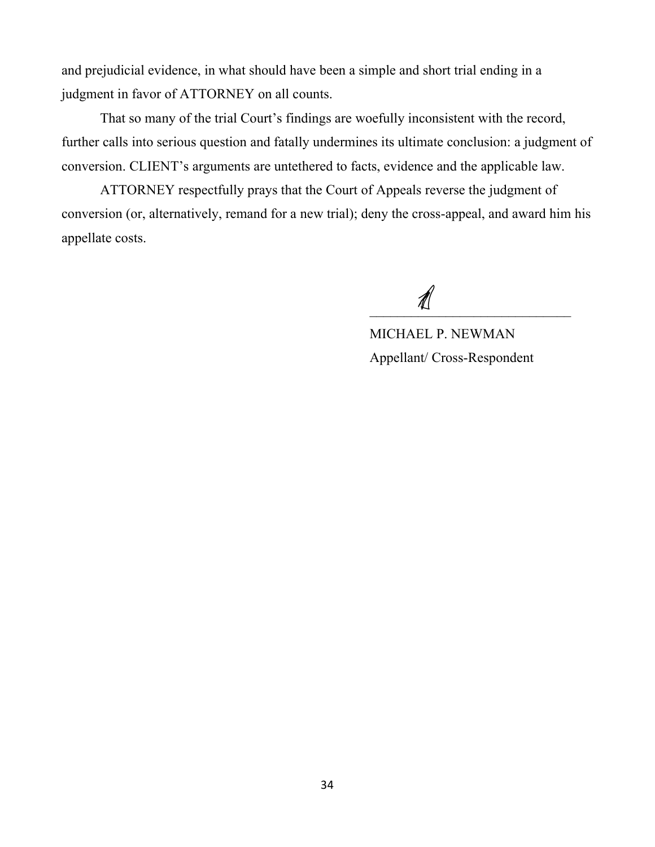and prejudicial evidence, in what should have been a simple and short trial ending in a judgment in favor of ATTORNEY on all counts.

 That so many of the trial Court's findings are woefully inconsistent with the record, further calls into serious question and fatally undermines its ultimate conclusion: a judgment of conversion. CLIENT's arguments are untethered to facts, evidence and the applicable law.

 ATTORNEY respectfully prays that the Court of Appeals reverse the judgment of conversion (or, alternatively, remand for a new trial); deny the cross-appeal, and award him his appellate costs.

 $\frac{d\mathcal{L}}{d\mathcal{L}}$ 

 MICHAEL P. NEWMAN Appellant/ Cross-Respondent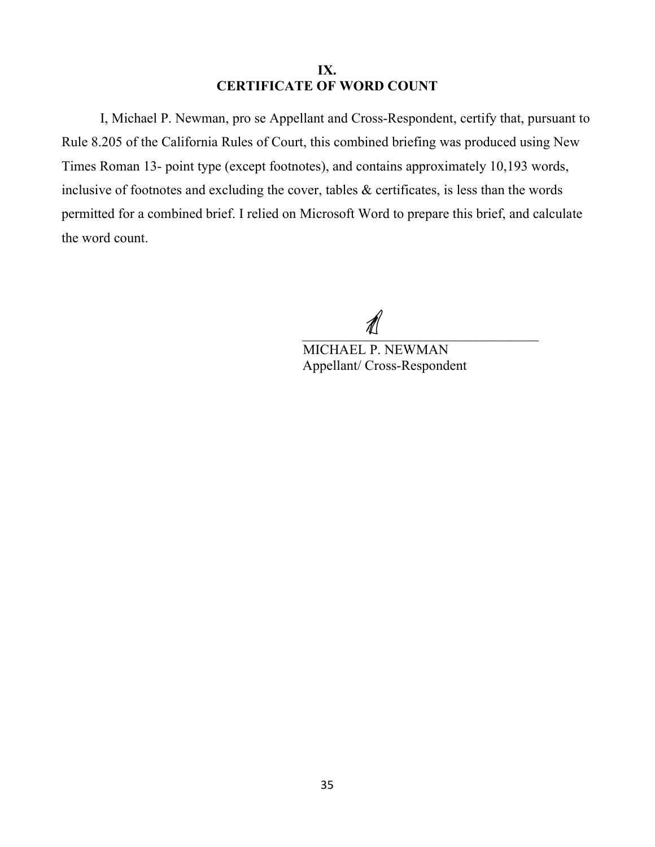## **IX. CERTIFICATE OF WORD COUNT**

<span id="page-34-0"></span>I, Michael P. Newman, pro se Appellant and Cross-Respondent, certify that, pursuant to Rule 8.205 of the California Rules of Court, this combined briefing was produced using New Times Roman 13- point type (except footnotes), and contains approximately 10,193 words, inclusive of footnotes and excluding the cover, tables & certificates, is less than the words permitted for a combined brief. I relied on Microsoft Word to prepare this brief, and calculate the word count.

 $\overline{\phantom{a}}$ 

 MICHAEL P. NEWMAN Appellant/ Cross-Respondent